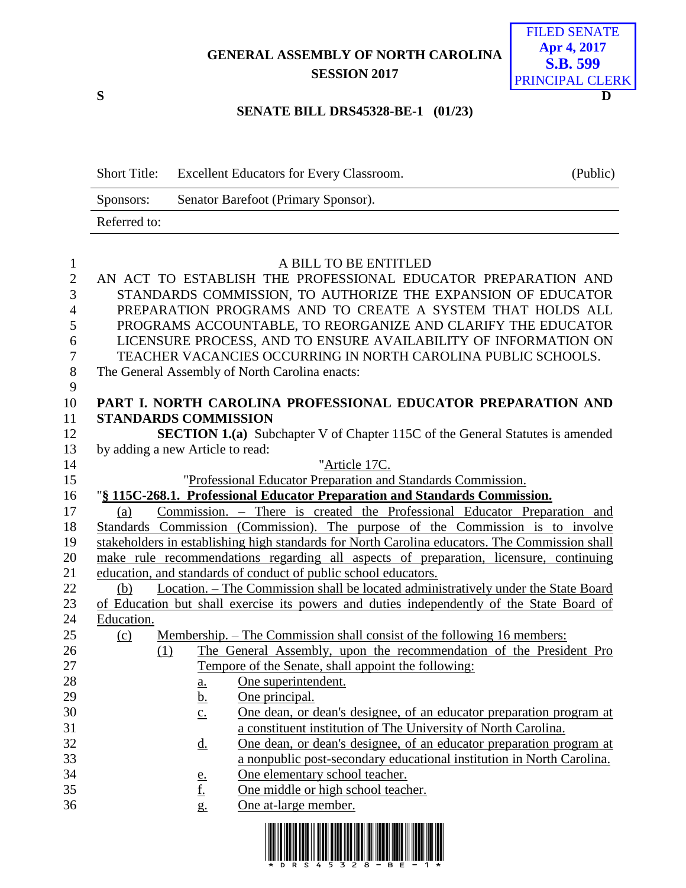## **GENERAL ASSEMBLY OF NORTH CAROLINA SESSION 2017**



#### **SENATE BILL DRS45328-BE-1 (01/23)**

| <b>Short Title:</b> | <b>Excellent Educators for Every Classroom.</b> | (Public) |
|---------------------|-------------------------------------------------|----------|
| Sponsors:           | Senator Barefoot (Primary Sponsor).             |          |
| Referred to:        |                                                 |          |

| $\mathbf{1}$ |                                  | A BILL TO BE ENTITLED                                                                          |
|--------------|----------------------------------|------------------------------------------------------------------------------------------------|
| $\mathbf{2}$ |                                  | AN ACT TO ESTABLISH THE PROFESSIONAL EDUCATOR PREPARATION AND                                  |
| 3            |                                  | STANDARDS COMMISSION, TO AUTHORIZE THE EXPANSION OF EDUCATOR                                   |
| 4            |                                  | PREPARATION PROGRAMS AND TO CREATE A SYSTEM THAT HOLDS ALL                                     |
| 5            |                                  | PROGRAMS ACCOUNTABLE, TO REORGANIZE AND CLARIFY THE EDUCATOR                                   |
| 6            |                                  | LICENSURE PROCESS, AND TO ENSURE AVAILABILITY OF INFORMATION ON                                |
| $\tau$       |                                  | TEACHER VACANCIES OCCURRING IN NORTH CAROLINA PUBLIC SCHOOLS.                                  |
| $8\,$        |                                  | The General Assembly of North Carolina enacts:                                                 |
| 9            |                                  |                                                                                                |
| 10           |                                  | PART I. NORTH CAROLINA PROFESSIONAL EDUCATOR PREPARATION AND                                   |
| 11           | <b>STANDARDS COMMISSION</b>      |                                                                                                |
| 12           |                                  | <b>SECTION 1.(a)</b> Subchapter V of Chapter 115C of the General Statutes is amended           |
| 13           | by adding a new Article to read: |                                                                                                |
| 14           |                                  | "Article 17C.                                                                                  |
| 15           |                                  | "Professional Educator Preparation and Standards Commission.                                   |
| 16           |                                  | "§ 115C-268.1. Professional Educator Preparation and Standards Commission.                     |
| 17           | (a)                              | Commission. – There is created the Professional Educator Preparation and                       |
| 18           |                                  | Standards Commission (Commission). The purpose of the Commission is to involve                 |
| 19           |                                  | stakeholders in establishing high standards for North Carolina educators. The Commission shall |
| 20           |                                  | make rule recommendations regarding all aspects of preparation, licensure, continuing          |
| 21           |                                  | education, and standards of conduct of public school educators.                                |
| 22           | (b)                              | Location. – The Commission shall be located administratively under the State Board             |
| 23           |                                  | of Education but shall exercise its powers and duties independently of the State Board of      |
| 24           | Education.                       |                                                                                                |
| 25           | $\Omega$                         | <u>Membership. – The Commission shall consist of the following 16 members:</u>                 |
| 26           | (1)                              | The General Assembly, upon the recommendation of the President Pro                             |
| 27           |                                  | Tempore of the Senate, shall appoint the following:                                            |
| 28           | <u>a.</u>                        | One superintendent.                                                                            |
| 29           | <u>b.</u>                        | One principal.                                                                                 |
| 30           | $\underline{c}$ .                | One dean, or dean's designee, of an educator preparation program at                            |
| 31           |                                  | a constituent institution of The University of North Carolina.                                 |
| 32           | $\underline{d}$ .                | One dean, or dean's designee, of an educator preparation program at                            |
| 33           |                                  | a nonpublic post-secondary educational institution in North Carolina                           |
| 34           |                                  | One elementary school teacher.                                                                 |
| 35           | $\frac{e}{f}$                    | One middle or high school teacher.                                                             |
| 36           | g.                               | One at-large member.                                                                           |
|              |                                  |                                                                                                |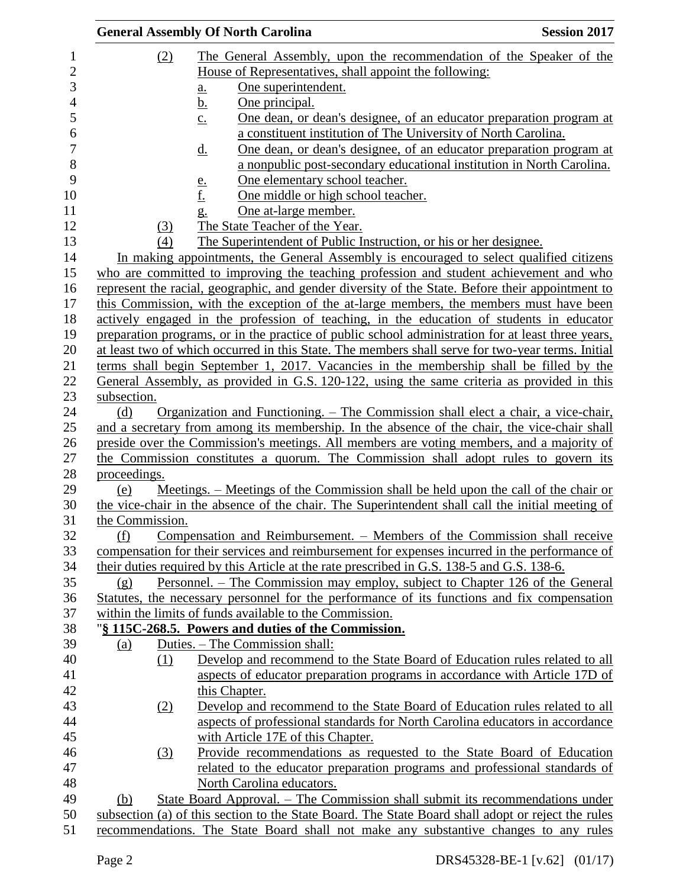|                 | <b>General Assembly Of North Carolina</b>                                                          | <b>Session 2017</b> |
|-----------------|----------------------------------------------------------------------------------------------------|---------------------|
| (2)             | The General Assembly, upon the recommendation of the Speaker of the                                |                     |
|                 | House of Representatives, shall appoint the following:                                             |                     |
|                 | One superintendent.<br>$\underline{\mathbf{a}}$ .                                                  |                     |
|                 | <u>b.</u><br>One principal.                                                                        |                     |
|                 | <u>One dean, or dean's designee, of an educator preparation program at</u><br>$\underline{c}$ .    |                     |
|                 | a constituent institution of The University of North Carolina.                                     |                     |
|                 | One dean, or dean's designee, of an educator preparation program at<br>$\underline{\mathrm{d}}$ .  |                     |
|                 | a nonpublic post-secondary educational institution in North Carolina.                              |                     |
|                 | One elementary school teacher.<br><u>e.</u>                                                        |                     |
|                 | <u>f.</u><br>One middle or high school teacher.                                                    |                     |
|                 | One at-large member.<br>g.                                                                         |                     |
| (3)             | The State Teacher of the Year.                                                                     |                     |
| (4)             | The Superintendent of Public Instruction, or his or her designee.                                  |                     |
|                 | In making appointments, the General Assembly is encouraged to select qualified citizens            |                     |
|                 | who are committed to improving the teaching profession and student achievement and who             |                     |
|                 | represent the racial, geographic, and gender diversity of the State. Before their appointment to   |                     |
|                 | this Commission, with the exception of the at-large members, the members must have been            |                     |
|                 | actively engaged in the profession of teaching, in the education of students in educator           |                     |
|                 | preparation programs, or in the practice of public school administration for at least three years, |                     |
|                 | at least two of which occurred in this State. The members shall serve for two-year terms. Initial  |                     |
|                 | terms shall begin September 1, 2017. Vacancies in the membership shall be filled by the            |                     |
|                 | General Assembly, as provided in G.S. 120-122, using the same criteria as provided in this         |                     |
| subsection.     |                                                                                                    |                     |
| (d)             | <u> Organization and Functioning. – The Commission shall elect a chair, a vice-chair,</u>          |                     |
|                 | and a secretary from among its membership. In the absence of the chair, the vice-chair shall       |                     |
|                 | preside over the Commission's meetings. All members are voting members, and a majority of          |                     |
|                 | the Commission constitutes a quorum. The Commission shall adopt rules to govern its                |                     |
| proceedings.    |                                                                                                    |                     |
| (e)             | Meetings. – Meetings of the Commission shall be held upon the call of the chair or                 |                     |
| the Commission. | the vice-chair in the absence of the chair. The Superintendent shall call the initial meeting of   |                     |
| (f)             | Compensation and Reimbursement. – Members of the Commission shall receive                          |                     |
|                 | compensation for their services and reimbursement for expenses incurred in the performance of      |                     |
|                 | their duties required by this Article at the rate prescribed in G.S. 138-5 and G.S. 138-6.         |                     |
| (g)             | Personnel. – The Commission may employ, subject to Chapter 126 of the General                      |                     |
|                 | Statutes, the necessary personnel for the performance of its functions and fix compensation        |                     |
|                 | within the limits of funds available to the Commission.                                            |                     |
|                 | "§ 115C-268.5. Powers and duties of the Commission.                                                |                     |
| (a)             | Duties. - The Commission shall:                                                                    |                     |
| (1)             | Develop and recommend to the State Board of Education rules related to all                         |                     |
|                 | aspects of educator preparation programs in accordance with Article 17D of                         |                     |
|                 | this Chapter.                                                                                      |                     |
| (2)             | Develop and recommend to the State Board of Education rules related to all                         |                     |
|                 | aspects of professional standards for North Carolina educators in accordance                       |                     |
|                 | with Article 17E of this Chapter.                                                                  |                     |
| (3)             | Provide recommendations as requested to the State Board of Education                               |                     |
|                 | related to the educator preparation programs and professional standards of                         |                     |
|                 | North Carolina educators.                                                                          |                     |
| (b)             | State Board Approval. – The Commission shall submit its recommendations under                      |                     |
|                 | subsection (a) of this section to the State Board. The State Board shall adopt or reject the rules |                     |
|                 | recommendations. The State Board shall not make any substantive changes to any rules               |                     |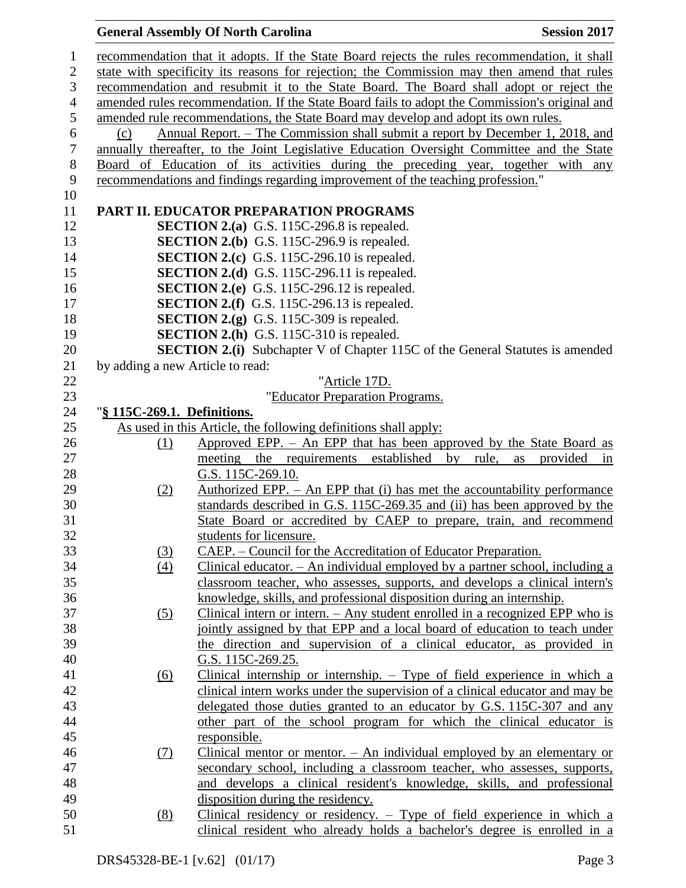# **General Assembly Of North Carolina Session 2017**

| $\mathbf{1}$   |                                                                                               | recommendation that it adopts. If the State Board rejects the rules recommendation, it shall |  |  |  |
|----------------|-----------------------------------------------------------------------------------------------|----------------------------------------------------------------------------------------------|--|--|--|
| $\mathbf{2}$   | state with specificity its reasons for rejection; the Commission may then amend that rules    |                                                                                              |  |  |  |
| 3              | recommendation and resubmit it to the State Board. The Board shall adopt or reject the        |                                                                                              |  |  |  |
| $\overline{4}$ | amended rules recommendation. If the State Board fails to adopt the Commission's original and |                                                                                              |  |  |  |
| 5              |                                                                                               | amended rule recommendations, the State Board may develop and adopt its own rules.           |  |  |  |
| 6              | (c)                                                                                           | Annual Report. – The Commission shall submit a report by December 1, 2018, and               |  |  |  |
| $\tau$         |                                                                                               | annually thereafter, to the Joint Legislative Education Oversight Committee and the State    |  |  |  |
| $8\,$          |                                                                                               | Board of Education of its activities during the preceding year, together with any            |  |  |  |
| 9              |                                                                                               | recommendations and findings regarding improvement of the teaching profession."              |  |  |  |
| 10             |                                                                                               |                                                                                              |  |  |  |
| 11             |                                                                                               | PART II. EDUCATOR PREPARATION PROGRAMS                                                       |  |  |  |
| 12             |                                                                                               | <b>SECTION 2.(a)</b> G.S. 115C-296.8 is repealed.                                            |  |  |  |
| 13             |                                                                                               | <b>SECTION 2.(b)</b> G.S. 115C-296.9 is repealed.                                            |  |  |  |
| 14             |                                                                                               | <b>SECTION 2.(c)</b> G.S. 115C-296.10 is repealed.                                           |  |  |  |
| 15             |                                                                                               | SECTION 2.(d) G.S. 115C-296.11 is repealed.                                                  |  |  |  |
| 16             |                                                                                               | <b>SECTION 2.(e)</b> G.S. 115C-296.12 is repealed.                                           |  |  |  |
| 17             |                                                                                               | <b>SECTION 2.(f)</b> G.S. 115C-296.13 is repealed.                                           |  |  |  |
| 18             |                                                                                               | <b>SECTION 2.(g)</b> G.S. 115C-309 is repealed.                                              |  |  |  |
| 19             |                                                                                               | <b>SECTION 2.(h)</b> G.S. 115C-310 is repealed.                                              |  |  |  |
| 20             |                                                                                               | <b>SECTION 2.(i)</b> Subchapter V of Chapter 115C of the General Statutes is amended         |  |  |  |
| 21             | by adding a new Article to read:                                                              |                                                                                              |  |  |  |
| 22             |                                                                                               | "Article 17D.                                                                                |  |  |  |
| 23             |                                                                                               | "Educator Preparation Programs.                                                              |  |  |  |
| 24             | "§ 115C-269.1. Definitions.                                                                   |                                                                                              |  |  |  |
| 25             |                                                                                               | As used in this Article, the following definitions shall apply:                              |  |  |  |
| 26             | (1)                                                                                           | Approved EPP. - An EPP that has been approved by the State Board as                          |  |  |  |
| 27             |                                                                                               | meeting the requirements established by rule, as provided<br>in                              |  |  |  |
| 28             |                                                                                               | G.S. 115C-269.10.                                                                            |  |  |  |
| 29             | (2)                                                                                           | Authorized EPP. $-$ An EPP that (i) has met the accountability performance                   |  |  |  |
| 30             |                                                                                               | standards described in G.S. 115C-269.35 and (ii) has been approved by the                    |  |  |  |
| 31             |                                                                                               | State Board or accredited by CAEP to prepare, train, and recommend                           |  |  |  |
| 32             |                                                                                               | students for licensure.                                                                      |  |  |  |
| 33             | (3)                                                                                           | CAEP. – Council for the Accreditation of Educator Preparation.                               |  |  |  |
| 34             | (4)                                                                                           | Clinical educator. $-$ An individual employed by a partner school, including a               |  |  |  |
| 35             |                                                                                               | classroom teacher, who assesses, supports, and develops a clinical intern's                  |  |  |  |
| 36             |                                                                                               | knowledge, skills, and professional disposition during an internship.                        |  |  |  |
| 37             | (5)                                                                                           | Clinical intern or intern. $-$ Any student enrolled in a recognized EPP who is               |  |  |  |
| 38             |                                                                                               | jointly assigned by that EPP and a local board of education to teach under                   |  |  |  |
| 39             |                                                                                               | the direction and supervision of a clinical educator, as provided in                         |  |  |  |
| 40             |                                                                                               | G.S. 115C-269.25.                                                                            |  |  |  |
| 41             | <u>(6)</u>                                                                                    | Clinical internship or internship. $-$ Type of field experience in which a                   |  |  |  |
| 42             |                                                                                               | clinical intern works under the supervision of a clinical educator and may be                |  |  |  |
| 43             |                                                                                               | delegated those duties granted to an educator by G.S. 115C-307 and any                       |  |  |  |
| 44             |                                                                                               | other part of the school program for which the clinical educator is                          |  |  |  |
| 45             |                                                                                               | responsible.                                                                                 |  |  |  |
| 46             | (7)                                                                                           | Clinical mentor or mentor. $-$ An individual employed by an elementary or                    |  |  |  |
| 47             |                                                                                               | secondary school, including a classroom teacher, who assesses, supports,                     |  |  |  |
| 48             |                                                                                               | and develops a clinical resident's knowledge, skills, and professional                       |  |  |  |
| 49             |                                                                                               | disposition during the residency.                                                            |  |  |  |
| 50             | (8)                                                                                           | Clinical residency or residency. $-$ Type of field experience in which a                     |  |  |  |
| 51             |                                                                                               | clinical resident who already holds a bachelor's degree is enrolled in a                     |  |  |  |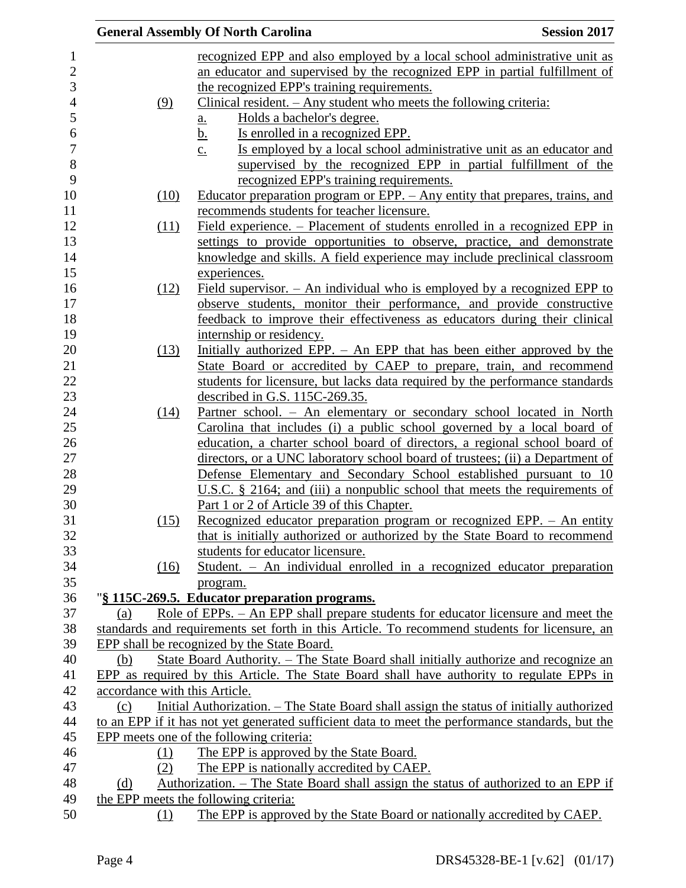|                               | <b>Session 2017</b><br><b>General Assembly Of North Carolina</b>                                 |
|-------------------------------|--------------------------------------------------------------------------------------------------|
|                               | recognized EPP and also employed by a local school administrative unit as                        |
|                               | an educator and supervised by the recognized EPP in partial fulfillment of                       |
|                               | the recognized EPP's training requirements.                                                      |
| (9)                           | Clinical resident. $-$ Any student who meets the following criteria:                             |
|                               | Holds a bachelor's degree.<br><u>a.</u>                                                          |
|                               | <u>b.</u><br>Is enrolled in a recognized EPP.                                                    |
|                               | Is employed by a local school administrative unit as an educator and<br>$\underline{c}$ .        |
|                               | supervised by the recognized EPP in partial fulfillment of the                                   |
|                               | recognized EPP's training requirements.                                                          |
| (10)                          | Educator preparation program or EPP. - Any entity that prepares, trains, and                     |
|                               | recommends students for teacher licensure.                                                       |
| (11)                          | Field experience. – Placement of students enrolled in a recognized EPP in                        |
|                               | settings to provide opportunities to observe, practice, and demonstrate                          |
|                               | knowledge and skills. A field experience may include preclinical classroom                       |
|                               | experiences.                                                                                     |
| (12)                          | Field supervisor. $-$ An individual who is employed by a recognized EPP to                       |
|                               | observe students, monitor their performance, and provide constructive                            |
|                               | feedback to improve their effectiveness as educators during their clinical                       |
|                               | internship or residency.                                                                         |
| (13)                          | Initially authorized EPP. - An EPP that has been either approved by the                          |
|                               | State Board or accredited by CAEP to prepare, train, and recommend                               |
|                               | students for licensure, but lacks data required by the performance standards                     |
|                               | described in G.S. 115C-269.35.                                                                   |
| (14)                          | Partner school. - An elementary or secondary school located in North                             |
|                               | Carolina that includes (i) a public school governed by a local board of                          |
|                               | education, a charter school board of directors, a regional school board of                       |
|                               | directors, or a UNC laboratory school board of trustees; (ii) a Department of                    |
|                               | Defense Elementary and Secondary School established pursuant to 10                               |
|                               | U.S.C. $\S$ 2164; and (iii) a nonpublic school that meets the requirements of                    |
|                               | Part 1 or 2 of Article 39 of this Chapter.                                                       |
| (15)                          | Recognized educator preparation program or recognized EPP. - An entity                           |
|                               | that is initially authorized or authorized by the State Board to recommend                       |
|                               | students for educator licensure.                                                                 |
| (16)                          | Student. – An individual enrolled in a recognized educator preparation                           |
|                               | program.                                                                                         |
|                               | "§ 115C-269.5. Educator preparation programs.                                                    |
| (a)                           | Role of EPPs. – An EPP shall prepare students for educator licensure and meet the                |
|                               | standards and requirements set forth in this Article. To recommend students for licensure, an    |
|                               | EPP shall be recognized by the State Board.                                                      |
| (b)                           | State Board Authority. – The State Board shall initially authorize and recognize an              |
|                               | EPP as required by this Article. The State Board shall have authority to regulate EPPs in        |
| accordance with this Article. |                                                                                                  |
| (c)                           | Initial Authorization. – The State Board shall assign the status of initially authorized         |
|                               | to an EPP if it has not yet generated sufficient data to meet the performance standards, but the |
|                               | EPP meets one of the following criteria:                                                         |
| (1)<br>(2)                    | The EPP is approved by the State Board.<br>The EPP is nationally accredited by CAEP.             |
|                               | Authorization. – The State Board shall assign the status of authorized to an EPP if              |
| (d)                           | the EPP meets the following criteria:                                                            |
| (1)                           | The EPP is approved by the State Board or nationally accredited by CAEP.                         |
|                               |                                                                                                  |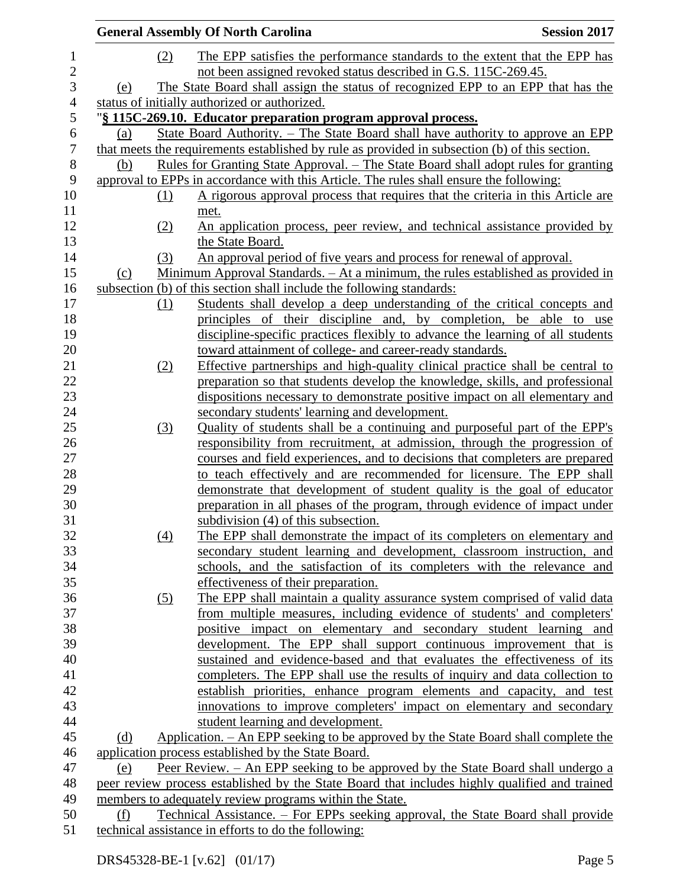|            | <b>General Assembly Of North Carolina</b>                                                      | <b>Session 2017</b> |
|------------|------------------------------------------------------------------------------------------------|---------------------|
| (2)        | The EPP satisfies the performance standards to the extent that the EPP has                     |                     |
|            | not been assigned revoked status described in G.S. 115C-269.45.                                |                     |
| (e)        | The State Board shall assign the status of recognized EPP to an EPP that has the               |                     |
|            | status of initially authorized or authorized.                                                  |                     |
|            | "§ 115C-269.10. Educator preparation program approval process.                                 |                     |
| (a)        | State Board Authority. – The State Board shall have authority to approve an EPP                |                     |
|            | that meets the requirements established by rule as provided in subsection (b) of this section. |                     |
| (b)        | <u> Rules for Granting State Approval. – The State Board shall adopt rules for granting</u>    |                     |
|            | approval to EPPs in accordance with this Article. The rules shall ensure the following:        |                     |
| <u>(1)</u> | A rigorous approval process that requires that the criteria in this Article are                |                     |
|            | met.                                                                                           |                     |
| (2)        | An application process, peer review, and technical assistance provided by                      |                     |
|            | the State Board.                                                                               |                     |
| (3)        | An approval period of five years and process for renewal of approval.                          |                     |
| (c)        | Minimum Approval Standards. - At a minimum, the rules established as provided in               |                     |
|            | subsection (b) of this section shall include the following standards:                          |                     |
| (1)        | Students shall develop a deep understanding of the critical concepts and                       |                     |
|            | principles of their discipline and, by completion, be able to use                              |                     |
|            | discipline-specific practices flexibly to advance the learning of all students                 |                     |
|            | toward attainment of college- and career-ready standards.                                      |                     |
| (2)        | Effective partnerships and high-quality clinical practice shall be central to                  |                     |
|            | preparation so that students develop the knowledge, skills, and professional                   |                     |
|            | dispositions necessary to demonstrate positive impact on all elementary and                    |                     |
|            | secondary students' learning and development.                                                  |                     |
| (3)        | Quality of students shall be a continuing and purposeful part of the EPP's                     |                     |
|            | responsibility from recruitment, at admission, through the progression of                      |                     |
|            | courses and field experiences, and to decisions that completers are prepared                   |                     |
|            | to teach effectively and are recommended for licensure. The EPP shall                          |                     |
|            | demonstrate that development of student quality is the goal of educator                        |                     |
|            | preparation in all phases of the program, through evidence of impact under                     |                     |
|            | subdivision (4) of this subsection.                                                            |                     |
| (4)        | The EPP shall demonstrate the impact of its completers on elementary and                       |                     |
|            | secondary student learning and development, classroom instruction, and                         |                     |
|            | schools, and the satisfaction of its completers with the relevance and                         |                     |
|            | effectiveness of their preparation.                                                            |                     |
| (5)        | The EPP shall maintain a quality assurance system comprised of valid data                      |                     |
|            | from multiple measures, including evidence of students' and completers'                        |                     |
|            | positive impact on elementary and secondary student learning and                               |                     |
|            | development. The EPP shall support continuous improvement that is                              |                     |
|            | sustained and evidence-based and that evaluates the effectiveness of its                       |                     |
|            | completers. The EPP shall use the results of inquiry and data collection to                    |                     |
|            | establish priorities, enhance program elements and capacity, and test                          |                     |
|            | innovations to improve completers' impact on elementary and secondary                          |                     |
|            | student learning and development.                                                              |                     |
| (d)        | Application. – An EPP seeking to be approved by the State Board shall complete the             |                     |
|            | application process established by the State Board.                                            |                     |
| (e)        | Peer Review. - An EPP seeking to be approved by the State Board shall undergo a                |                     |
|            | peer review process established by the State Board that includes highly qualified and trained  |                     |
|            | members to adequately review programs within the State.                                        |                     |
| (f)        | Technical Assistance. – For EPPs seeking approval, the State Board shall provide               |                     |
|            | technical assistance in efforts to do the following:                                           |                     |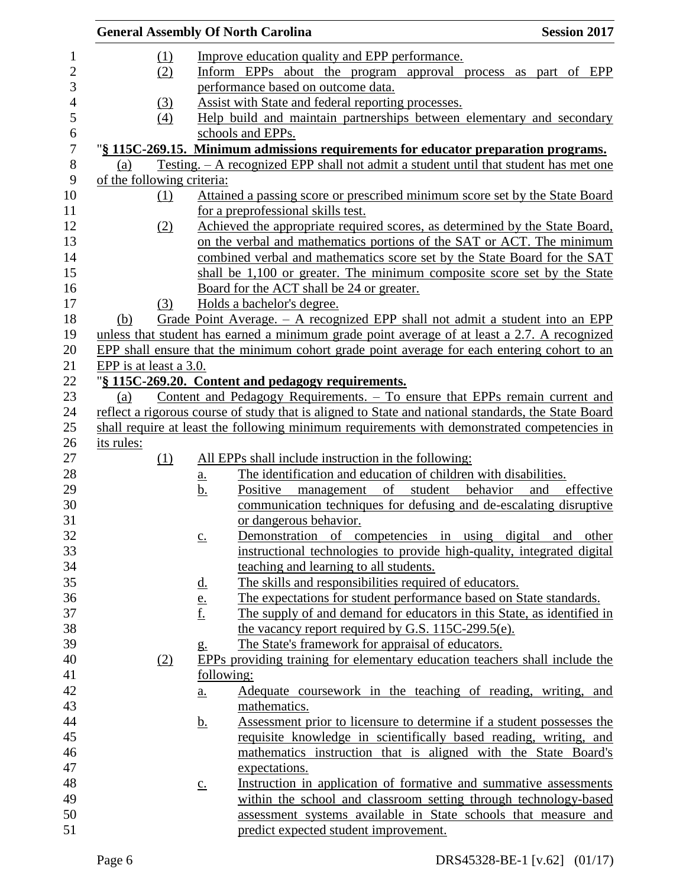|                          | <b>General Assembly Of North Carolina</b> |     |                                             | <b>Session 2017</b>                                                                                 |                  |
|--------------------------|-------------------------------------------|-----|---------------------------------------------|-----------------------------------------------------------------------------------------------------|------------------|
| $\mathbf{1}$             |                                           | (1) |                                             | Improve education quality and EPP performance.                                                      |                  |
| $\overline{2}$           |                                           | (2) |                                             | Inform EPPs about the program approval process as part of EPP                                       |                  |
| $\mathfrak{Z}$           |                                           |     |                                             | performance based on outcome data.                                                                  |                  |
| $\overline{\mathcal{A}}$ |                                           | (3) |                                             | Assist with State and federal reporting processes.                                                  |                  |
| 5                        |                                           | (4) |                                             | Help build and maintain partnerships between elementary and secondary                               |                  |
| 6                        |                                           |     |                                             | schools and EPPs.                                                                                   |                  |
| $\overline{7}$           |                                           |     |                                             | "§ 115C-269.15. Minimum admissions requirements for educator preparation programs.                  |                  |
| $8\,$                    | (a)                                       |     |                                             | <u>Testing. – A recognized EPP shall not admit a student until that student has met one</u>         |                  |
| 9                        | of the following criteria:                |     |                                             |                                                                                                     |                  |
| 10                       |                                           | (1) |                                             | Attained a passing score or prescribed minimum score set by the State Board                         |                  |
| 11                       |                                           |     |                                             | for a preprofessional skills test.                                                                  |                  |
| 12                       |                                           | (2) |                                             | Achieved the appropriate required scores, as determined by the State Board,                         |                  |
| 13                       |                                           |     |                                             | on the verbal and mathematics portions of the SAT or ACT. The minimum                               |                  |
| 14                       |                                           |     |                                             | combined verbal and mathematics score set by the State Board for the SAT                            |                  |
| 15                       |                                           |     |                                             | shall be 1,100 or greater. The minimum composite score set by the State                             |                  |
| 16                       |                                           |     |                                             | Board for the ACT shall be 24 or greater.                                                           |                  |
| 17                       |                                           | (3) |                                             | Holds a bachelor's degree.                                                                          |                  |
| 18                       | (b)                                       |     |                                             | Grade Point Average. $-$ A recognized EPP shall not admit a student into an EPP                     |                  |
| 19                       |                                           |     |                                             | unless that student has earned a minimum grade point average of at least a 2.7. A recognized        |                  |
| 20                       |                                           |     |                                             | EPP shall ensure that the minimum cohort grade point average for each entering cohort to an         |                  |
| 21                       | EPP is at least a 3.0.                    |     |                                             |                                                                                                     |                  |
| 22                       |                                           |     |                                             | "§ 115C-269.20. Content and pedagogy requirements.                                                  |                  |
| 23                       | (a)                                       |     |                                             | Content and Pedagogy Requirements. - To ensure that EPPs remain current and                         |                  |
| 24                       |                                           |     |                                             | reflect a rigorous course of study that is aligned to State and national standards, the State Board |                  |
| 25                       |                                           |     |                                             | shall require at least the following minimum requirements with demonstrated competencies in         |                  |
| 26                       | its rules:                                |     |                                             |                                                                                                     |                  |
| 27                       |                                           | (1) |                                             | All EPPs shall include instruction in the following:                                                |                  |
| 28                       |                                           |     | <u>a.</u>                                   | The identification and education of children with disabilities.                                     |                  |
| 29                       |                                           |     | <u>b.</u>                                   | management of student behavior<br>Positive                                                          | and<br>effective |
| 30                       |                                           |     |                                             | communication techniques for defusing and de-escalating disruptive                                  |                  |
| 31                       |                                           |     |                                             | or dangerous behavior.                                                                              |                  |
| 32                       |                                           |     | $\underline{c}$ .                           | Demonstration of competencies in using digital and other                                            |                  |
| 33                       |                                           |     |                                             | instructional technologies to provide high-quality, integrated digital                              |                  |
| 34                       |                                           |     |                                             | teaching and learning to all students.                                                              |                  |
| 35                       |                                           |     |                                             | The skills and responsibilities required of educators.                                              |                  |
| 36                       |                                           |     | $rac{\underline{d}}{\underline{e}}$ .<br>f. | The expectations for student performance based on State standards.                                  |                  |
| 37                       |                                           |     |                                             | The supply of and demand for educators in this State, as identified in                              |                  |
| 38                       |                                           |     |                                             | the vacancy report required by G.S. 115C-299.5(e).                                                  |                  |
| 39                       |                                           |     | $g_{\cdot}$                                 | The State's framework for appraisal of educators.                                                   |                  |
| 40                       |                                           | (2) |                                             | EPPs providing training for elementary education teachers shall include the                         |                  |
| 41                       |                                           |     | following:                                  |                                                                                                     |                  |
| 42                       |                                           |     | a.                                          | Adequate coursework in the teaching of reading, writing, and                                        |                  |
| 43                       |                                           |     |                                             | mathematics.                                                                                        |                  |
| 44                       |                                           |     | <u>b.</u>                                   | Assessment prior to licensure to determine if a student possesses the                               |                  |
| 45                       |                                           |     |                                             | requisite knowledge in scientifically based reading, writing, and                                   |                  |
| 46                       |                                           |     |                                             | mathematics instruction that is aligned with the State Board's                                      |                  |
| 47                       |                                           |     |                                             | expectations.                                                                                       |                  |
| 48                       |                                           |     | $c_{\cdot}$                                 | Instruction in application of formative and summative assessments                                   |                  |
| 49                       |                                           |     |                                             | within the school and classroom setting through technology-based                                    |                  |
| 50                       |                                           |     |                                             | assessment systems available in State schools that measure and                                      |                  |
| 51                       |                                           |     |                                             | predict expected student improvement.                                                               |                  |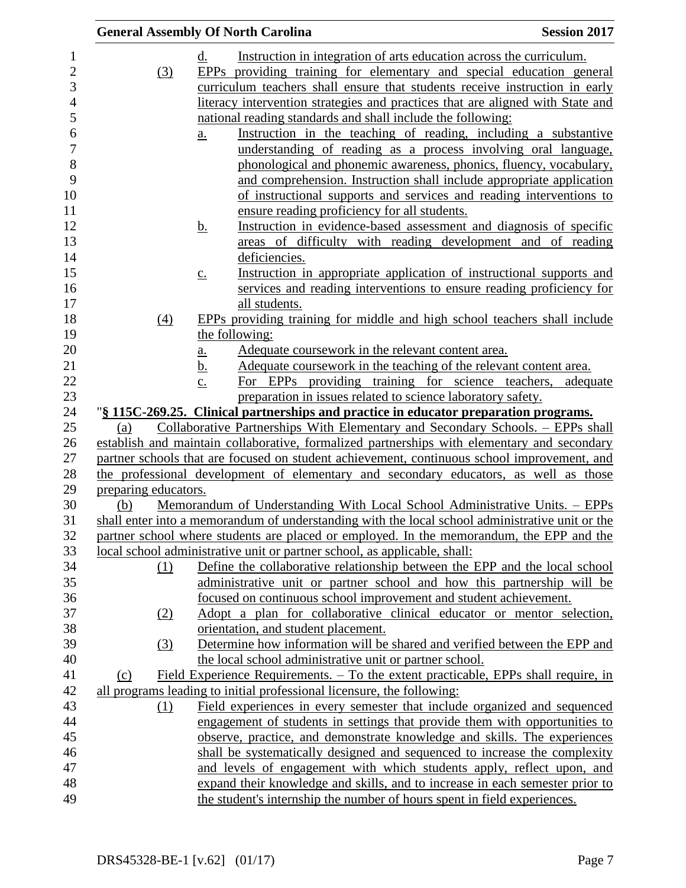| <b>General Assembly Of North Carolina</b> |                   |                                                                                                                                            | <b>Session 2017</b> |
|-------------------------------------------|-------------------|--------------------------------------------------------------------------------------------------------------------------------------------|---------------------|
|                                           | d.                | Instruction in integration of arts education across the curriculum.                                                                        |                     |
| (3)                                       |                   | EPPs providing training for elementary and special education general                                                                       |                     |
|                                           |                   | curriculum teachers shall ensure that students receive instruction in early                                                                |                     |
|                                           |                   | literacy intervention strategies and practices that are aligned with State and                                                             |                     |
|                                           |                   | national reading standards and shall include the following:                                                                                |                     |
|                                           | a.                | Instruction in the teaching of reading, including a substantive                                                                            |                     |
|                                           |                   | understanding of reading as a process involving oral language,                                                                             |                     |
|                                           |                   | phonological and phonemic awareness, phonics, fluency, vocabulary,                                                                         |                     |
|                                           |                   | and comprehension. Instruction shall include appropriate application                                                                       |                     |
|                                           |                   | of instructional supports and services and reading interventions to                                                                        |                     |
|                                           |                   | ensure reading proficiency for all students.                                                                                               |                     |
|                                           | <u>b.</u>         | Instruction in evidence-based assessment and diagnosis of specific                                                                         |                     |
|                                           |                   | areas of difficulty with reading development and of reading                                                                                |                     |
|                                           |                   | deficiencies.                                                                                                                              |                     |
|                                           | $\underline{c}$ . | Instruction in appropriate application of instructional supports and                                                                       |                     |
|                                           |                   | services and reading interventions to ensure reading proficiency for                                                                       |                     |
|                                           |                   | all students.                                                                                                                              |                     |
| (4)                                       |                   | EPPs providing training for middle and high school teachers shall include                                                                  |                     |
|                                           |                   | the following:                                                                                                                             |                     |
|                                           | <u>a.</u>         | Adequate course work in the relevant content area.                                                                                         |                     |
|                                           | <u>b.</u>         | Adequate coursework in the teaching of the relevant content area.                                                                          |                     |
|                                           | $\underline{c}$ . | For EPPs providing training for science teachers, adequate                                                                                 |                     |
|                                           |                   | preparation in issues related to science laboratory safety.                                                                                |                     |
|                                           |                   | "§ 115C-269.25. Clinical partnerships and practice in educator preparation programs.                                                       |                     |
| (a)                                       |                   | Collaborative Partnerships With Elementary and Secondary Schools. – EPPs shall                                                             |                     |
|                                           |                   | establish and maintain collaborative, formalized partnerships with elementary and secondary                                                |                     |
|                                           |                   | partner schools that are focused on student achievement, continuous school improvement, and                                                |                     |
|                                           |                   | the professional development of elementary and secondary educators, as well as those                                                       |                     |
| preparing educators.                      |                   |                                                                                                                                            |                     |
| (b)                                       |                   | Memorandum of Understanding With Local School Administrative Units. - EPPs                                                                 |                     |
|                                           |                   | shall enter into a memorandum of understanding with the local school administrative unit or the                                            |                     |
|                                           |                   | partner school where students are placed or employed. In the memorandum, the EPP and the                                                   |                     |
|                                           |                   | local school administrative unit or partner school, as applicable, shall:                                                                  |                     |
| (1)                                       |                   | Define the collaborative relationship between the EPP and the local school                                                                 |                     |
|                                           |                   | administrative unit or partner school and how this partnership will be                                                                     |                     |
|                                           |                   | focused on continuous school improvement and student achievement.<br>Adopt a plan for collaborative clinical educator or mentor selection, |                     |
| (2)                                       |                   |                                                                                                                                            |                     |
|                                           |                   | orientation, and student placement.                                                                                                        |                     |
| (3)                                       |                   | Determine how information will be shared and verified between the EPP and                                                                  |                     |
|                                           |                   | the local school administrative unit or partner school.                                                                                    |                     |
| (c)                                       |                   | Field Experience Requirements. – To the extent practicable, EPPs shall require, in                                                         |                     |
|                                           |                   | all programs leading to initial professional licensure, the following:                                                                     |                     |
| (1)                                       |                   | Field experiences in every semester that include organized and sequenced                                                                   |                     |
|                                           |                   | engagement of students in settings that provide them with opportunities to                                                                 |                     |
|                                           |                   | observe, practice, and demonstrate knowledge and skills. The experiences                                                                   |                     |
|                                           |                   | shall be systematically designed and sequenced to increase the complexity                                                                  |                     |
|                                           |                   | and levels of engagement with which students apply, reflect upon, and                                                                      |                     |
|                                           |                   | expand their knowledge and skills, and to increase in each semester prior to                                                               |                     |
|                                           |                   | the student's internship the number of hours spent in field experiences.                                                                   |                     |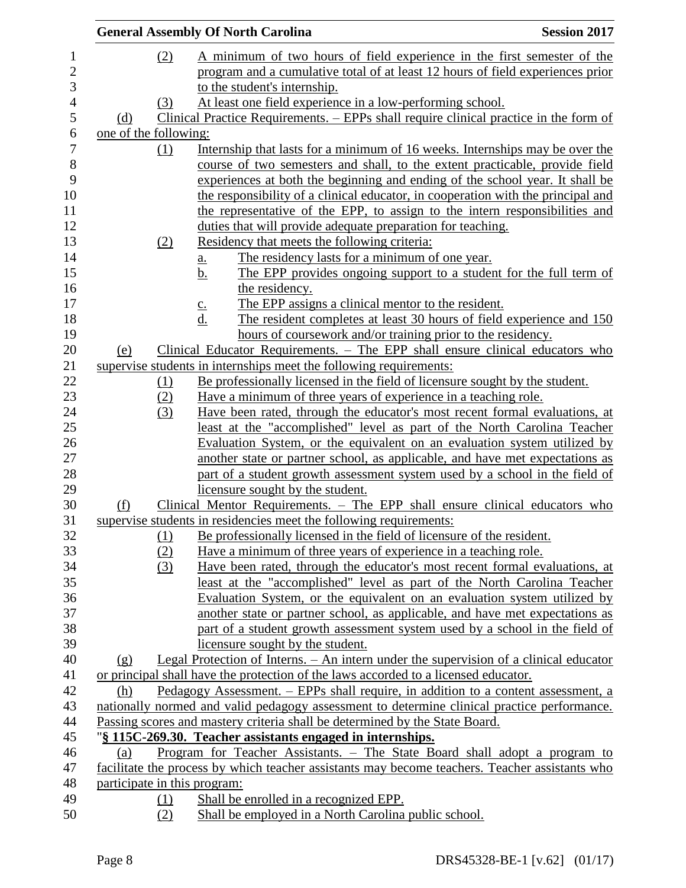|                       |     | <b>General Assembly Of North Carolina</b>                                                                                                             | <b>Session 2017</b> |
|-----------------------|-----|-------------------------------------------------------------------------------------------------------------------------------------------------------|---------------------|
|                       | (2) | A minimum of two hours of field experience in the first semester of the                                                                               |                     |
|                       |     | program and a cumulative total of at least 12 hours of field experiences prior                                                                        |                     |
|                       |     | to the student's internship.                                                                                                                          |                     |
|                       | (3) | At least one field experience in a low-performing school.                                                                                             |                     |
| (d)                   |     | Clinical Practice Requirements. – EPPs shall require clinical practice in the form of                                                                 |                     |
| one of the following: |     |                                                                                                                                                       |                     |
|                       | (1) | Internship that lasts for a minimum of 16 weeks. Internships may be over the                                                                          |                     |
|                       |     | course of two semesters and shall, to the extent practicable, provide field                                                                           |                     |
|                       |     | experiences at both the beginning and ending of the school year. It shall be                                                                          |                     |
|                       |     | the responsibility of a clinical educator, in cooperation with the principal and                                                                      |                     |
|                       |     | the representative of the EPP, to assign to the intern responsibilities and                                                                           |                     |
|                       |     | duties that will provide adequate preparation for teaching.                                                                                           |                     |
|                       | (2) | Residency that meets the following criteria:                                                                                                          |                     |
|                       |     | The residency lasts for a minimum of one year.<br><u>a.</u>                                                                                           |                     |
|                       |     | The EPP provides ongoing support to a student for the full term of<br>b.                                                                              |                     |
|                       |     | the residency.                                                                                                                                        |                     |
|                       |     | The EPP assigns a clinical mentor to the resident.<br>$\underline{C}$ .                                                                               |                     |
|                       |     | $\underline{d}$ .<br>The resident completes at least 30 hours of field experience and 150                                                             |                     |
|                       |     | hours of coursework and/or training prior to the residency.                                                                                           |                     |
| (e)                   |     | Clinical Educator Requirements. - The EPP shall ensure clinical educators who                                                                         |                     |
|                       |     | supervise students in internships meet the following requirements:                                                                                    |                     |
|                       | (1) | Be professionally licensed in the field of licensure sought by the student.                                                                           |                     |
|                       | (2) | Have a minimum of three years of experience in a teaching role.                                                                                       |                     |
|                       | (3) | Have been rated, through the educator's most recent formal evaluations, at                                                                            |                     |
|                       |     | least at the "accomplished" level as part of the North Carolina Teacher                                                                               |                     |
|                       |     | Evaluation System, or the equivalent on an evaluation system utilized by                                                                              |                     |
|                       |     | another state or partner school, as applicable, and have met expectations as                                                                          |                     |
|                       |     | part of a student growth assessment system used by a school in the field of                                                                           |                     |
|                       |     | licensure sought by the student.                                                                                                                      |                     |
| (f)                   |     | Clinical Mentor Requirements. - The EPP shall ensure clinical educators who                                                                           |                     |
|                       |     | supervise students in residencies meet the following requirements:                                                                                    |                     |
|                       | (1) | Be professionally licensed in the field of licensure of the resident.                                                                                 |                     |
|                       | (2) | Have a minimum of three years of experience in a teaching role.                                                                                       |                     |
|                       | (3) | Have been rated, through the educator's most recent formal evaluations, at<br>least at the "accomplished" level as part of the North Carolina Teacher |                     |
|                       |     | Evaluation System, or the equivalent on an evaluation system utilized by                                                                              |                     |
|                       |     | another state or partner school, as applicable, and have met expectations as                                                                          |                     |
|                       |     | part of a student growth assessment system used by a school in the field of                                                                           |                     |
|                       |     | licensure sought by the student.                                                                                                                      |                     |
| (g)                   |     | Legal Protection of Interns. – An intern under the supervision of a clinical educator                                                                 |                     |
|                       |     | or principal shall have the protection of the laws accorded to a licensed educator.                                                                   |                     |
| (h)                   |     | Pedagogy Assessment. – EPPs shall require, in addition to a content assessment, a                                                                     |                     |
|                       |     | nationally normed and valid pedagogy assessment to determine clinical practice performance.                                                           |                     |
|                       |     | Passing scores and mastery criteria shall be determined by the State Board.                                                                           |                     |
|                       |     | "§ 115C-269.30. Teacher assistants engaged in internships.                                                                                            |                     |
| (a)                   |     | Program for Teacher Assistants. – The State Board shall adopt a program to                                                                            |                     |
|                       |     | facilitate the process by which teacher assistants may become teachers. Teacher assistants who                                                        |                     |
|                       |     | participate in this program:                                                                                                                          |                     |
|                       | (1) | Shall be enrolled in a recognized EPP.                                                                                                                |                     |
|                       |     | anglered in a North Carolina public school                                                                                                            |                     |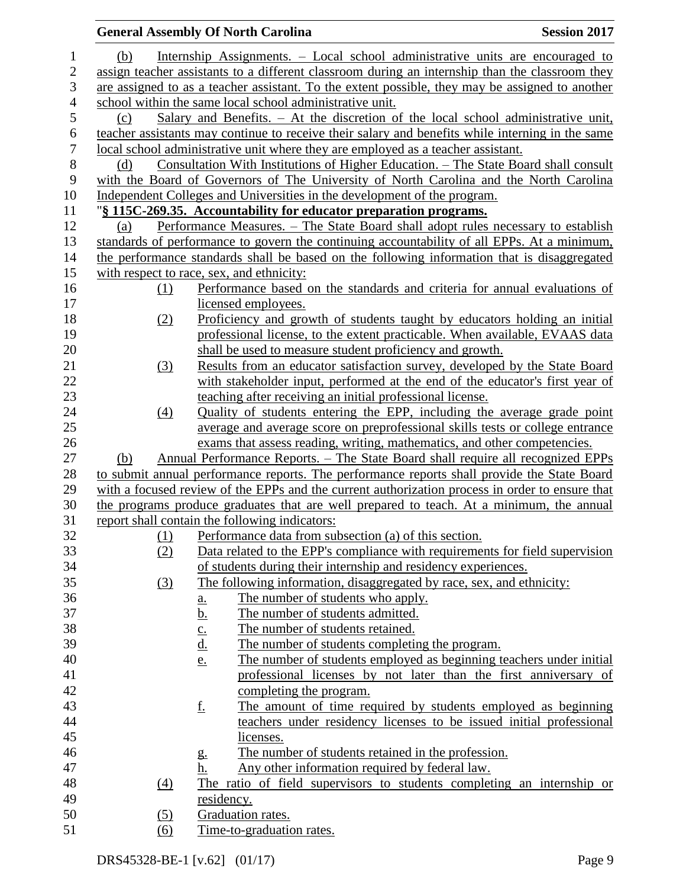|                  |     |            | <b>General Assembly Of North Carolina</b>                                                        | <b>Session 2017</b> |
|------------------|-----|------------|--------------------------------------------------------------------------------------------------|---------------------|
| $\mathbf{1}$     | (b) |            | Internship Assignments. – Local school administrative units are encouraged to                    |                     |
| $\overline{2}$   |     |            | assign teacher assistants to a different classroom during an internship than the classroom they  |                     |
| 3                |     |            | are assigned to as a teacher assistant. To the extent possible, they may be assigned to another  |                     |
| $\overline{4}$   |     |            | school within the same local school administrative unit.                                         |                     |
| 5                | (c) |            | Salary and Benefits. $-$ At the discretion of the local school administrative unit,              |                     |
| 6                |     |            | teacher assistants may continue to receive their salary and benefits while interning in the same |                     |
| $\boldsymbol{7}$ |     |            | local school administrative unit where they are employed as a teacher assistant.                 |                     |
| 8                | (d) |            | <u>Consultation With Institutions of Higher Education. – The State Board shall consult</u>       |                     |
| 9                |     |            | with the Board of Governors of The University of North Carolina and the North Carolina           |                     |
| 10               |     |            | Independent Colleges and Universities in the development of the program.                         |                     |
| 11               |     |            | "§ 115C-269.35. Accountability for educator preparation programs.                                |                     |
| 12               | (a) |            | Performance Measures. - The State Board shall adopt rules necessary to establish                 |                     |
| 13               |     |            | standards of performance to govern the continuing accountability of all EPPs. At a minimum,      |                     |
| 14               |     |            | the performance standards shall be based on the following information that is disaggregated      |                     |
| 15               |     |            | with respect to race, sex, and ethnicity:                                                        |                     |
| 16               |     | <u>(1)</u> | Performance based on the standards and criteria for annual evaluations of                        |                     |
| 17               |     |            | licensed employees.                                                                              |                     |
| 18               |     | (2)        | Proficiency and growth of students taught by educators holding an initial                        |                     |
| 19               |     |            | professional license, to the extent practicable. When available, EVAAS data                      |                     |
| 20               |     |            | shall be used to measure student proficiency and growth.                                         |                     |
| 21               |     | (3)        | Results from an educator satisfaction survey, developed by the State Board                       |                     |
| 22               |     |            | with stakeholder input, performed at the end of the educator's first year of                     |                     |
| 23               |     |            | teaching after receiving an initial professional license.                                        |                     |
| 24               |     | (4)        | Quality of students entering the EPP, including the average grade point                          |                     |
| 25               |     |            | average and average score on preprofessional skills tests or college entrance                    |                     |
| 26               |     |            | exams that assess reading, writing, mathematics, and other competencies.                         |                     |
| 27               | (b) |            | <u> Annual Performance Reports. – The State Board shall require all recognized EPPs</u>          |                     |
| 28               |     |            | to submit annual performance reports. The performance reports shall provide the State Board      |                     |
| 29               |     |            | with a focused review of the EPPs and the current authorization process in order to ensure that  |                     |
| 30               |     |            | the programs produce graduates that are well prepared to teach. At a minimum, the annual         |                     |
| 31               |     |            | report shall contain the following indicators:                                                   |                     |
| 32               |     | (1)        | Performance data from subsection (a) of this section.                                            |                     |
| 33               |     | (2)        | Data related to the EPP's compliance with requirements for field supervision                     |                     |
| 34               |     |            | of students during their internship and residency experiences.                                   |                     |
| 35               |     | (3)        | The following information, disaggregated by race, sex, and ethnicity:                            |                     |
| 36               |     |            | The number of students who apply.<br>$\underline{\mathbf{a}}$ .                                  |                     |
| 37               |     |            | <u>b.</u><br>The number of students admitted.                                                    |                     |
| 38               |     |            | The number of students retained.<br>$\underline{c}$ .                                            |                     |
| 39               |     |            | <u>d.</u><br>The number of students completing the program.                                      |                     |
| 40               |     |            | The number of students employed as beginning teachers under initial<br>e.                        |                     |
| 41               |     |            | professional licenses by not later than the first anniversary of                                 |                     |
| 42               |     |            | completing the program.                                                                          |                     |
| 43               |     |            | <u>f.</u><br>The amount of time required by students employed as beginning                       |                     |
| 44               |     |            | teachers under residency licenses to be issued initial professional                              |                     |
| 45               |     |            | licenses.                                                                                        |                     |
| 46               |     |            | The number of students retained in the profession.<br>g.                                         |                     |
| 47               |     |            | Any other information required by federal law.<br>h.                                             |                     |
| 48               |     | (4)        | The ratio of field supervisors to students completing an internship or                           |                     |
| 49               |     |            | residency.                                                                                       |                     |
| 50               |     | (5)        | Graduation rates.                                                                                |                     |
| 51               |     | (6)        | Time-to-graduation rates.                                                                        |                     |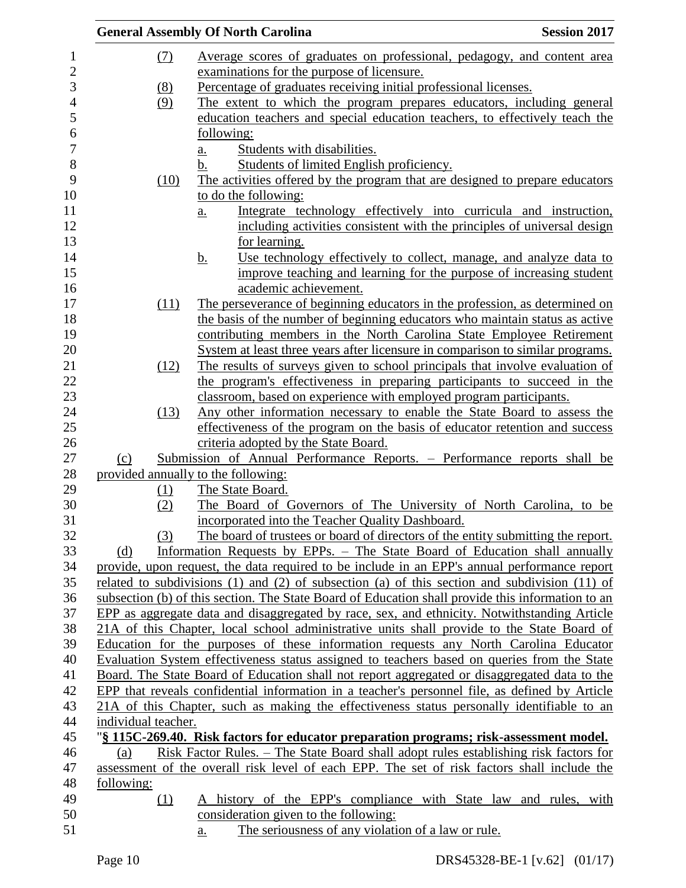|                  |                     | <b>General Assembly Of North Carolina</b><br><b>Session 2017</b>                                      |
|------------------|---------------------|-------------------------------------------------------------------------------------------------------|
| 1                | (7)                 | Average scores of graduates on professional, pedagogy, and content area                               |
| $\overline{c}$   |                     | examinations for the purpose of licensure.                                                            |
| 3                | (8)                 | Percentage of graduates receiving initial professional licenses.                                      |
| $\overline{4}$   | (9)                 | The extent to which the program prepares educators, including general                                 |
| 5                |                     | education teachers and special education teachers, to effectively teach the                           |
| $\boldsymbol{6}$ |                     | following:                                                                                            |
| 7                |                     | Students with disabilities.<br>$\underline{a}$ .                                                      |
| 8                |                     | Students of limited English proficiency.<br>b.                                                        |
| 9                | (10)                | The activities offered by the program that are designed to prepare educators                          |
| 10               |                     | to do the following:                                                                                  |
| 11               |                     | Integrate technology effectively into curricula and instruction,<br>$\underline{a}$ .                 |
| 12               |                     | including activities consistent with the principles of universal design                               |
| 13               |                     | for learning.                                                                                         |
| 14               |                     | Use technology effectively to collect, manage, and analyze data to<br><u>b.</u>                       |
| 15               |                     | improve teaching and learning for the purpose of increasing student                                   |
| 16               |                     | academic achievement.                                                                                 |
| 17               | (11)                | The perseverance of beginning educators in the profession, as determined on                           |
| 18               |                     | the basis of the number of beginning educators who maintain status as active                          |
| 19               |                     | contributing members in the North Carolina State Employee Retirement                                  |
| 20               |                     | System at least three years after licensure in comparison to similar programs.                        |
| 21               | (12)                | The results of surveys given to school principals that involve evaluation of                          |
| 22               |                     | the program's effectiveness in preparing participants to succeed in the                               |
| 23               |                     | classroom, based on experience with employed program participants.                                    |
| 24               | (13)                | Any other information necessary to enable the State Board to assess the                               |
| 25               |                     | effectiveness of the program on the basis of educator retention and success                           |
| 26               |                     | criteria adopted by the State Board.                                                                  |
| 27               | (c)                 | Submission of Annual Performance Reports. - Performance reports shall be                              |
| 28               |                     | provided annually to the following:                                                                   |
| 29               | (1)                 | The State Board.                                                                                      |
| 30               | (2)                 | The Board of Governors of The University of North Carolina, to be                                     |
| 31               |                     | incorporated into the Teacher Quality Dashboard.                                                      |
| 32               | (3)                 | The board of trustees or board of directors of the entity submitting the report.                      |
| 33               | (d)                 | Information Requests by EPPs. – The State Board of Education shall annually                           |
| 34               |                     | provide, upon request, the data required to be include in an EPP's annual performance report          |
| 35               |                     | related to subdivisions $(1)$ and $(2)$ of subsection $(a)$ of this section and subdivision $(11)$ of |
| 36               |                     | subsection (b) of this section. The State Board of Education shall provide this information to an     |
| 37               |                     | EPP as aggregate data and disaggregated by race, sex, and ethnicity. Notwithstanding Article          |
| 38               |                     | 21A of this Chapter, local school administrative units shall provide to the State Board of            |
| 39               |                     | Education for the purposes of these information requests any North Carolina Educator                  |
| 40               |                     | Evaluation System effectiveness status assigned to teachers based on queries from the State           |
| 41               |                     | Board. The State Board of Education shall not report aggregated or disaggregated data to the          |
| 42               |                     | EPP that reveals confidential information in a teacher's personnel file, as defined by Article        |
| 43               |                     | 21A of this Chapter, such as making the effectiveness status personally identifiable to an            |
| 44               | individual teacher. |                                                                                                       |
| 45               |                     | "§ 115C-269.40. Risk factors for educator preparation programs; risk-assessment model.                |
| 46               | (a)                 | Risk Factor Rules. – The State Board shall adopt rules establishing risk factors for                  |
| 47               |                     | assessment of the overall risk level of each EPP. The set of risk factors shall include the           |
| 48               | following:          |                                                                                                       |
| 49               | (1)                 | A history of the EPP's compliance with State law and rules, with                                      |
| 50               |                     | consideration given to the following:                                                                 |
| 51               |                     | The seriousness of any violation of a law or rule.<br>$\underline{a}$ .                               |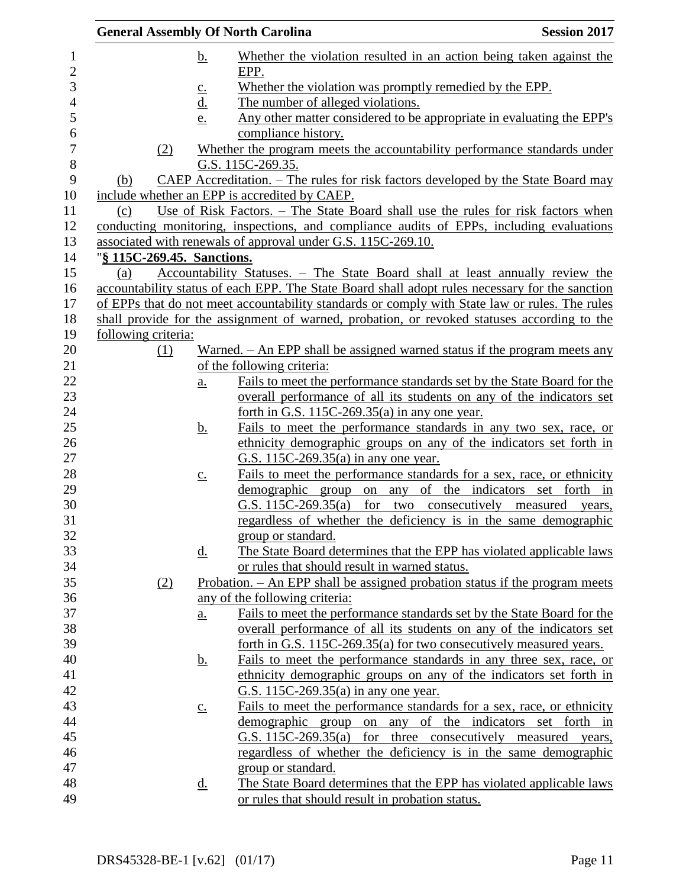|                            |     |                            | <b>General Assembly Of North Carolina</b>                                                       | <b>Session 2017</b> |
|----------------------------|-----|----------------------------|-------------------------------------------------------------------------------------------------|---------------------|
|                            |     | <u>b.</u>                  | Whether the violation resulted in an action being taken against the                             |                     |
|                            |     |                            | EPP.                                                                                            |                     |
|                            |     | $\underline{c}$ .          | Whether the violation was promptly remedied by the EPP.                                         |                     |
|                            |     | <u>d.</u>                  | The number of alleged violations.                                                               |                     |
|                            |     | e.                         | Any other matter considered to be appropriate in evaluating the EPP's                           |                     |
|                            |     |                            | compliance history.                                                                             |                     |
|                            | (2) |                            | Whether the program meets the accountability performance standards under                        |                     |
|                            |     |                            | G.S. 115C-269.35.                                                                               |                     |
| (b)                        |     |                            | CAEP Accreditation. – The rules for risk factors developed by the State Board may               |                     |
|                            |     |                            | include whether an EPP is accredited by CAEP.                                                   |                     |
| (c)                        |     |                            | Use of Risk Factors. – The State Board shall use the rules for risk factors when                |                     |
|                            |     |                            | conducting monitoring, inspections, and compliance audits of EPPs, including evaluations        |                     |
|                            |     |                            | associated with renewals of approval under G.S. 115C-269.10.                                    |                     |
| "§ 115C-269.45. Sanctions. |     |                            |                                                                                                 |                     |
| (a)                        |     |                            | Accountability Statuses. - The State Board shall at least annually review the                   |                     |
|                            |     |                            | accountability status of each EPP. The State Board shall adopt rules necessary for the sanction |                     |
|                            |     |                            | of EPPs that do not meet accountability standards or comply with State law or rules. The rules  |                     |
|                            |     |                            | shall provide for the assignment of warned, probation, or revoked statuses according to the     |                     |
| following criteria:        |     |                            |                                                                                                 |                     |
|                            | (1) |                            | Warned. – An EPP shall be assigned warned status if the program meets any                       |                     |
|                            |     |                            | of the following criteria:                                                                      |                     |
|                            |     | $\underline{\mathbf{a}}$ . | Fails to meet the performance standards set by the State Board for the                          |                     |
|                            |     |                            | overall performance of all its students on any of the indicators set                            |                     |
|                            |     |                            | forth in G.S. $115C-269.35(a)$ in any one year.                                                 |                     |
|                            |     | <u>b.</u>                  | Fails to meet the performance standards in any two sex, race, or                                |                     |
|                            |     |                            | ethnicity demographic groups on any of the indicators set forth in                              |                     |
|                            |     |                            | G.S. 115C-269.35(a) in any one year.                                                            |                     |
|                            |     | $\underline{c}$ .          | Fails to meet the performance standards for a sex, race, or ethnicity                           |                     |
|                            |     |                            | demographic group on any of the indicators set forth in                                         |                     |
|                            |     |                            | G.S. 115C-269.35(a) for two consecutively measured years,                                       |                     |
|                            |     |                            | regardless of whether the deficiency is in the same demographic                                 |                     |
|                            |     |                            | group or standard.                                                                              |                     |
|                            |     | <u>d.</u>                  | The State Board determines that the EPP has violated applicable laws                            |                     |
|                            |     |                            | or rules that should result in warned status.                                                   |                     |
|                            | (2) |                            | Probation. - An EPP shall be assigned probation status if the program meets                     |                     |
|                            |     |                            | any of the following criteria:                                                                  |                     |
|                            |     | $\underline{\mathbf{a}}$ . | Fails to meet the performance standards set by the State Board for the                          |                     |
|                            |     |                            | overall performance of all its students on any of the indicators set                            |                     |
|                            |     |                            | forth in G.S. 115C-269.35(a) for two consecutively measured years.                              |                     |
|                            |     | <u>b.</u>                  | Fails to meet the performance standards in any three sex, race, or                              |                     |
|                            |     |                            | ethnicity demographic groups on any of the indicators set forth in                              |                     |
|                            |     |                            | G.S. 115C-269.35(a) in any one year.                                                            |                     |
|                            |     | $\underline{C}$ .          | Fails to meet the performance standards for a sex, race, or ethnicity                           |                     |
|                            |     |                            | demographic group on any of the indicators set forth in                                         |                     |
|                            |     |                            | G.S. 115C-269.35(a) for three consecutively measured years,                                     |                     |
|                            |     |                            | regardless of whether the deficiency is in the same demographic                                 |                     |
|                            |     |                            | group or standard.                                                                              |                     |
|                            |     | <u>d.</u>                  | The State Board determines that the EPP has violated applicable laws                            |                     |
|                            |     |                            | or rules that should result in probation status.                                                |                     |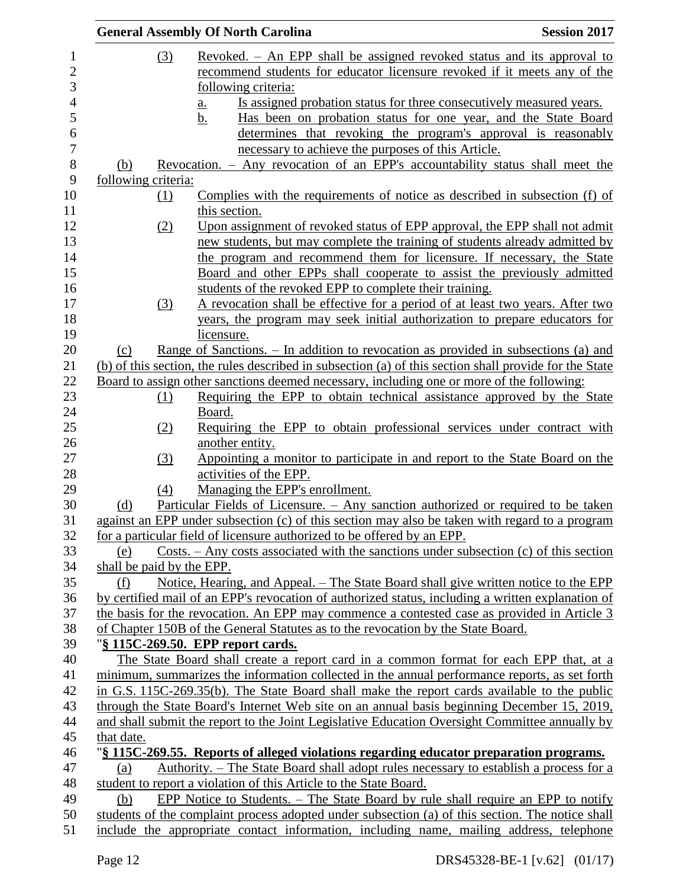|                           | <b>General Assembly Of North Carolina</b>                                                              | <b>Session 2017</b> |
|---------------------------|--------------------------------------------------------------------------------------------------------|---------------------|
| (3)                       | Revoked. – An EPP shall be assigned revoked status and its approval to                                 |                     |
|                           | recommend students for educator licensure revoked if it meets any of the                               |                     |
|                           | following criteria:                                                                                    |                     |
|                           | Is assigned probation status for three consecutively measured years.<br><u>a.</u>                      |                     |
|                           | Has been on probation status for one year, and the State Board<br><u>b.</u>                            |                     |
|                           | determines that revoking the program's approval is reasonably                                          |                     |
|                           | necessary to achieve the purposes of this Article.                                                     |                     |
| (b)                       | <u>Revocation. – Any revocation of an EPP's accountability status shall meet the</u>                   |                     |
| following criteria:       |                                                                                                        |                     |
| $\Omega$                  | Complies with the requirements of notice as described in subsection (f) of                             |                     |
|                           | this section.                                                                                          |                     |
| (2)                       | Upon assignment of revoked status of EPP approval, the EPP shall not admit                             |                     |
|                           | new students, but may complete the training of students already admitted by                            |                     |
|                           | the program and recommend them for licensure. If necessary, the State                                  |                     |
|                           | Board and other EPPs shall cooperate to assist the previously admitted                                 |                     |
|                           | students of the revoked EPP to complete their training.                                                |                     |
| (3)                       | A revocation shall be effective for a period of at least two years. After two                          |                     |
|                           | years, the program may seek initial authorization to prepare educators for                             |                     |
|                           | licensure.                                                                                             |                     |
| (c)                       | Range of Sanctions. – In addition to revocation as provided in subsections (a) and                     |                     |
|                           | (b) of this section, the rules described in subsection (a) of this section shall provide for the State |                     |
|                           | Board to assign other sanctions deemed necessary, including one or more of the following:              |                     |
| <u>(1)</u>                | Requiring the EPP to obtain technical assistance approved by the State                                 |                     |
|                           | Board.                                                                                                 |                     |
| (2)                       | Requiring the EPP to obtain professional services under contract with                                  |                     |
|                           | another entity.                                                                                        |                     |
| (3)                       | Appointing a monitor to participate in and report to the State Board on the                            |                     |
|                           | activities of the EPP.                                                                                 |                     |
| (4)                       | Managing the EPP's enrollment.                                                                         |                     |
| (d)                       | Particular Fields of Licensure. - Any sanction authorized or required to be taken                      |                     |
|                           | against an EPP under subsection (c) of this section may also be taken with regard to a program         |                     |
|                           | for a particular field of licensure authorized to be offered by an EPP.                                |                     |
| (e)                       | Costs. $-\text{Any costs associated with the sactions under subsection (c) of this section}$           |                     |
| shall be paid by the EPP. |                                                                                                        |                     |
| (f)                       | Notice, Hearing, and Appeal. – The State Board shall give written notice to the EPP                    |                     |
|                           | by certified mail of an EPP's revocation of authorized status, including a written explanation of      |                     |
|                           | the basis for the revocation. An EPP may commence a contested case as provided in Article 3            |                     |
|                           | of Chapter 150B of the General Statutes as to the revocation by the State Board.                       |                     |
|                           | "§ 115C-269.50. EPP report cards.                                                                      |                     |
|                           | The State Board shall create a report card in a common format for each EPP that, at a                  |                     |
|                           | minimum, summarizes the information collected in the annual performance reports, as set forth          |                     |
|                           | in G.S. 115C-269.35(b). The State Board shall make the report cards available to the public            |                     |
|                           | through the State Board's Internet Web site on an annual basis beginning December 15, 2019,            |                     |
| that date.                | and shall submit the report to the Joint Legislative Education Oversight Committee annually by         |                     |
|                           | "\\the 3 115C-269.55. Reports of alleged violations regarding educator preparation programs.           |                     |
|                           | Authority. – The State Board shall adopt rules necessary to establish a process for a                  |                     |
| (a)                       | student to report a violation of this Article to the State Board.                                      |                     |
| (b)                       | EPP Notice to Students. – The State Board by rule shall require an EPP to notify                       |                     |
|                           | students of the complaint process adopted under subsection (a) of this section. The notice shall       |                     |
|                           | include the appropriate contact information, including name, mailing address, telephone                |                     |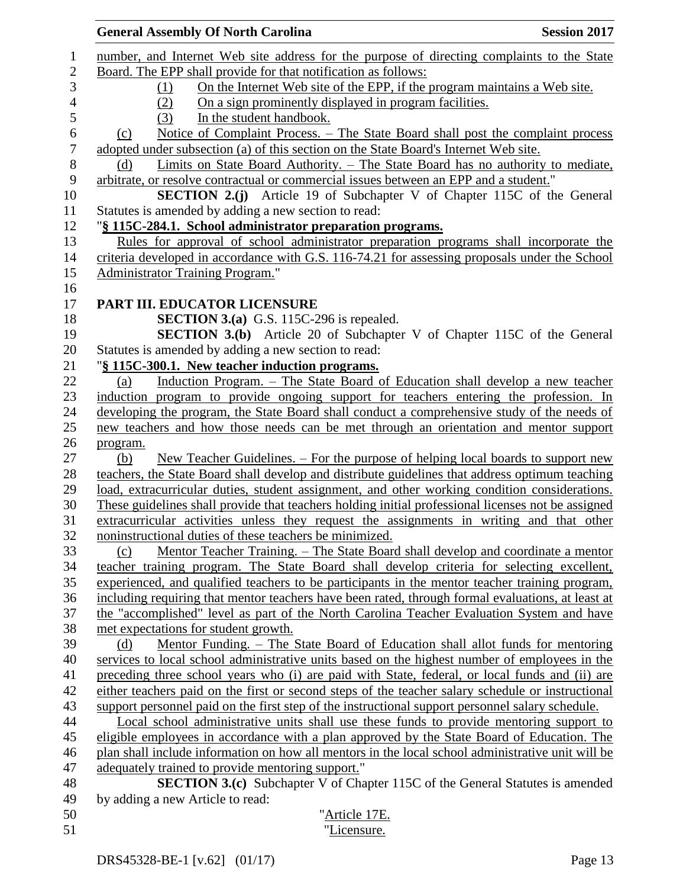|                  | <b>General Assembly Of North Carolina</b><br><b>Session 2017</b>                                   |
|------------------|----------------------------------------------------------------------------------------------------|
| $\mathbf{1}$     | number, and Internet Web site address for the purpose of directing complaints to the State         |
| $\sqrt{2}$       | Board. The EPP shall provide for that notification as follows:                                     |
| 3                | On the Internet Web site of the EPP, if the program maintains a Web site.<br>(1)                   |
| $\overline{4}$   | On a sign prominently displayed in program facilities.<br>(2)                                      |
| 5                | In the student handbook.<br>(3)                                                                    |
| $\epsilon$       | <u>Notice of Complaint Process. – The State Board shall post the complaint process</u><br>(c)      |
| $\boldsymbol{7}$ | adopted under subsection (a) of this section on the State Board's Internet Web site.               |
| $\, 8$           | Limits on State Board Authority. – The State Board has no authority to mediate,<br>(d)             |
| 9                | arbitrate, or resolve contractual or commercial issues between an EPP and a student."              |
| 10               | <b>SECTION 2.(j)</b> Article 19 of Subchapter V of Chapter 115C of the General                     |
| 11               | Statutes is amended by adding a new section to read:                                               |
| 12               | "§ 115C-284.1. School administrator preparation programs.                                          |
| 13               | Rules for approval of school administrator preparation programs shall incorporate the              |
| 14               | criteria developed in accordance with G.S. 116-74.21 for assessing proposals under the School      |
| 15               | Administrator Training Program."                                                                   |
| 16               |                                                                                                    |
| 17               | PART III. EDUCATOR LICENSURE                                                                       |
| 18               | <b>SECTION 3.(a)</b> G.S. 115C-296 is repealed.                                                    |
| 19               | <b>SECTION 3.(b)</b> Article 20 of Subchapter V of Chapter 115C of the General                     |
| 20               | Statutes is amended by adding a new section to read:                                               |
| 21               | "§ 115C-300.1. New teacher induction programs.                                                     |
| 22               | Induction Program. - The State Board of Education shall develop a new teacher<br>(a)               |
| 23               | induction program to provide ongoing support for teachers entering the profession. In              |
| 24               | developing the program, the State Board shall conduct a comprehensive study of the needs of        |
| 25               | new teachers and how those needs can be met through an orientation and mentor support              |
| 26               | program.                                                                                           |
| 27               | <u>New Teacher Guidelines. – For the purpose of helping local boards to support new</u><br>(b)     |
| 28               | teachers, the State Board shall develop and distribute guidelines that address optimum teaching    |
| 29               | load, extracurricular duties, student assignment, and other working condition considerations.      |
| 30               | These guidelines shall provide that teachers holding initial professional licenses not be assigned |
| 31               | extracurricular activities unless they request the assignments in writing and that other           |
| 32               | noninstructional duties of these teachers be minimized.                                            |
| 33               | Mentor Teacher Training. – The State Board shall develop and coordinate a mentor<br>(c)            |
| 34               | teacher training program. The State Board shall develop criteria for selecting excellent,          |
| 35               | experienced, and qualified teachers to be participants in the mentor teacher training program,     |
| 36               | including requiring that mentor teachers have been rated, through formal evaluations, at least at  |
| 37               | the "accomplished" level as part of the North Carolina Teacher Evaluation System and have          |
| 38               | met expectations for student growth.                                                               |
| 39               | Mentor Funding. – The State Board of Education shall allot funds for mentoring<br>(d)              |
| 40               | services to local school administrative units based on the highest number of employees in the      |
| 41               | preceding three school years who (i) are paid with State, federal, or local funds and (ii) are     |
| 42               | either teachers paid on the first or second steps of the teacher salary schedule or instructional  |
| 43               | support personnel paid on the first step of the instructional support personnel salary schedule.   |
| 44               | Local school administrative units shall use these funds to provide mentoring support to            |
| 45               | eligible employees in accordance with a plan approved by the State Board of Education. The         |
| 46               | plan shall include information on how all mentors in the local school administrative unit will be  |
| 47               | adequately trained to provide mentoring support."                                                  |
| 48               | <b>SECTION 3.(c)</b> Subchapter V of Chapter 115C of the General Statutes is amended               |
| 49               | by adding a new Article to read:                                                                   |
| 50               | "Article 17E.                                                                                      |
| 51               | "Licensure.                                                                                        |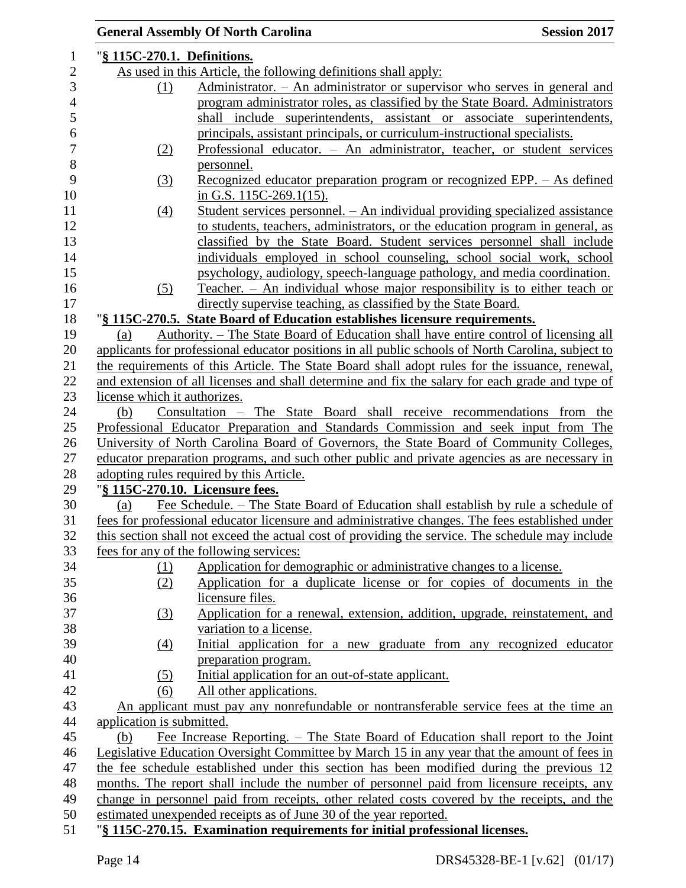|                              | <b>General Assembly Of North Carolina</b>                                                                             | <b>Session 2017</b> |
|------------------------------|-----------------------------------------------------------------------------------------------------------------------|---------------------|
| "§ 115C-270.1. Definitions.  |                                                                                                                       |                     |
|                              | As used in this Article, the following definitions shall apply:                                                       |                     |
| (1)                          | Administrator. - An administrator or supervisor who serves in general and                                             |                     |
|                              | program administrator roles, as classified by the State Board. Administrators                                         |                     |
|                              | shall include superintendents, assistant or associate superintendents,                                                |                     |
|                              | principals, assistant principals, or curriculum-instructional specialists.                                            |                     |
| (2)                          | Professional educator. - An administrator, teacher, or student services                                               |                     |
|                              | personnel.                                                                                                            |                     |
| (3)                          | Recognized educator preparation program or recognized EPP. – As defined                                               |                     |
|                              | in G.S. $115C-269.1(15)$ .                                                                                            |                     |
| $\left(4\right)$             | <u> Student services personnel. – An individual providing specialized assistance</u>                                  |                     |
|                              | to students, teachers, administrators, or the education program in general, as                                        |                     |
|                              | classified by the State Board. Student services personnel shall include                                               |                     |
|                              | individuals employed in school counseling, school social work, school                                                 |                     |
|                              | psychology, audiology, speech-language pathology, and media coordination.                                             |                     |
| (5)                          | Teacher. - An individual whose major responsibility is to either teach or                                             |                     |
|                              | directly supervise teaching, as classified by the State Board.                                                        |                     |
|                              | "§ 115C-270.5. State Board of Education establishes licensure requirements.                                           |                     |
| (a)                          | Authority. – The State Board of Education shall have entire control of licensing all                                  |                     |
|                              | applicants for professional educator positions in all public schools of North Carolina, subject to                    |                     |
|                              | the requirements of this Article. The State Board shall adopt rules for the issuance, renewal,                        |                     |
|                              | and extension of all licenses and shall determine and fix the salary for each grade and type of                       |                     |
| license which it authorizes. |                                                                                                                       |                     |
| (b)                          | Consultation - The State Board shall receive recommendations from the                                                 |                     |
|                              | Professional Educator Preparation and Standards Commission and seek input from The                                    |                     |
|                              | University of North Carolina Board of Governors, the State Board of Community Colleges,                               |                     |
|                              | educator preparation programs, and such other public and private agencies as are necessary in                         |                     |
|                              | adopting rules required by this Article.                                                                              |                     |
|                              | "§ 115C-270.10. Licensure fees.<br>Fee Schedule. – The State Board of Education shall establish by rule a schedule of |                     |
| (a)                          | fees for professional educator licensure and administrative changes. The fees established under                       |                     |
|                              | this section shall not exceed the actual cost of providing the service. The schedule may include                      |                     |
|                              | fees for any of the following services:                                                                               |                     |
| (1)                          | Application for demographic or administrative changes to a license.                                                   |                     |
| (2)                          | Application for a duplicate license or for copies of documents in the                                                 |                     |
|                              | licensure files.                                                                                                      |                     |
| (3)                          | Application for a renewal, extension, addition, upgrade, reinstatement, and                                           |                     |
|                              | variation to a license.                                                                                               |                     |
| $\left(4\right)$             | Initial application for a new graduate from any recognized educator                                                   |                     |
|                              | preparation program.                                                                                                  |                     |
| (5)                          | Initial application for an out-of-state applicant.                                                                    |                     |
| (6)                          | All other applications.                                                                                               |                     |
|                              | An applicant must pay any nonrefundable or nontransferable service fees at the time an                                |                     |
| application is submitted.    |                                                                                                                       |                     |
| (b)                          | Fee Increase Reporting. – The State Board of Education shall report to the Joint                                      |                     |
|                              | Legislative Education Oversight Committee by March 15 in any year that the amount of fees in                          |                     |
|                              | the fee schedule established under this section has been modified during the previous 12                              |                     |
|                              | months. The report shall include the number of personnel paid from licensure receipts, any                            |                     |
|                              | change in personnel paid from receipts, other related costs covered by the receipts, and the                          |                     |
|                              | estimated unexpended receipts as of June 30 of the year reported.                                                     |                     |
|                              | "§ 115C-270.15. Examination requirements for initial professional licenses.                                           |                     |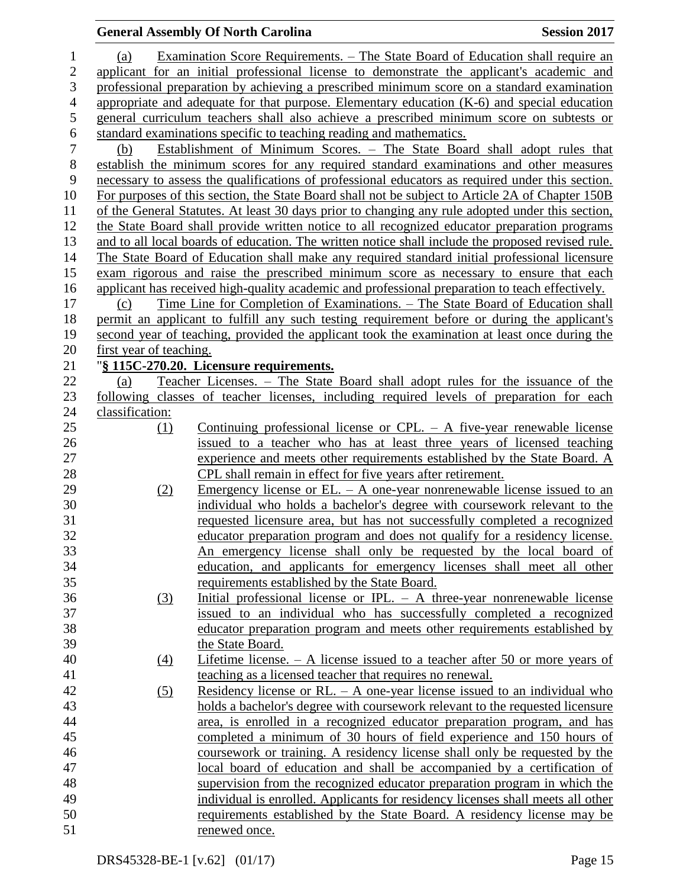### **General Assembly Of North Carolina Session 2017**  (a) Examination Score Requirements. – The State Board of Education shall require an applicant for an initial professional license to demonstrate the applicant's academic and professional preparation by achieving a prescribed minimum score on a standard examination appropriate and adequate for that purpose. Elementary education (K-6) and special education general curriculum teachers shall also achieve a prescribed minimum score on subtests or 6 standard examinations specific to teaching reading and mathematics.<br>
(b) Establishment of Minimum Scores. – The State Boa (b) Establishment of Minimum Scores. – The State Board shall adopt rules that establish the minimum scores for any required standard examinations and other measures necessary to assess the qualifications of professional educators as required under this section. For purposes of this section, the State Board shall not be subject to Article 2A of Chapter 150B 11 of the General Statutes. At least 30 days prior to changing any rule adopted under this section, the State Board shall provide written notice to all recognized educator preparation programs and to all local boards of education. The written notice shall include the proposed revised rule. The State Board of Education shall make any required standard initial professional licensure exam rigorous and raise the prescribed minimum score as necessary to ensure that each applicant has received high-quality academic and professional preparation to teach effectively. (c) Time Line for Completion of Examinations. – The State Board of Education shall permit an applicant to fulfill any such testing requirement before or during the applicant's second year of teaching, provided the applicant took the examination at least once during the first year of teaching. "**§ 115C-270.20. Licensure requirements.** (a) Teacher Licenses. – The State Board shall adopt rules for the issuance of the following classes of teacher licenses, including required levels of preparation for each classification: (1) Continuing professional license or CPL. – A five-year renewable license issued to a teacher who has at least three years of licensed teaching experience and meets other requirements established by the State Board. A CPL shall remain in effect for five years after retirement. (2) Emergency license or EL. – A one-year nonrenewable license issued to an individual who holds a bachelor's degree with coursework relevant to the requested licensure area, but has not successfully completed a recognized educator preparation program and does not qualify for a residency license. An emergency license shall only be requested by the local board of education, and applicants for emergency licenses shall meet all other requirements established by the State Board. (3) Initial professional license or IPL. – A three-year nonrenewable license issued to an individual who has successfully completed a recognized educator preparation program and meets other requirements established by the State Board. (4) Lifetime license. – A license issued to a teacher after 50 or more years of teaching as a licensed teacher that requires no renewal. (5) Residency license or RL. – A one-year license issued to an individual who holds a bachelor's degree with coursework relevant to the requested licensure area, is enrolled in a recognized educator preparation program, and has completed a minimum of 30 hours of field experience and 150 hours of coursework or training. A residency license shall only be requested by the local board of education and shall be accompanied by a certification of supervision from the recognized educator preparation program in which the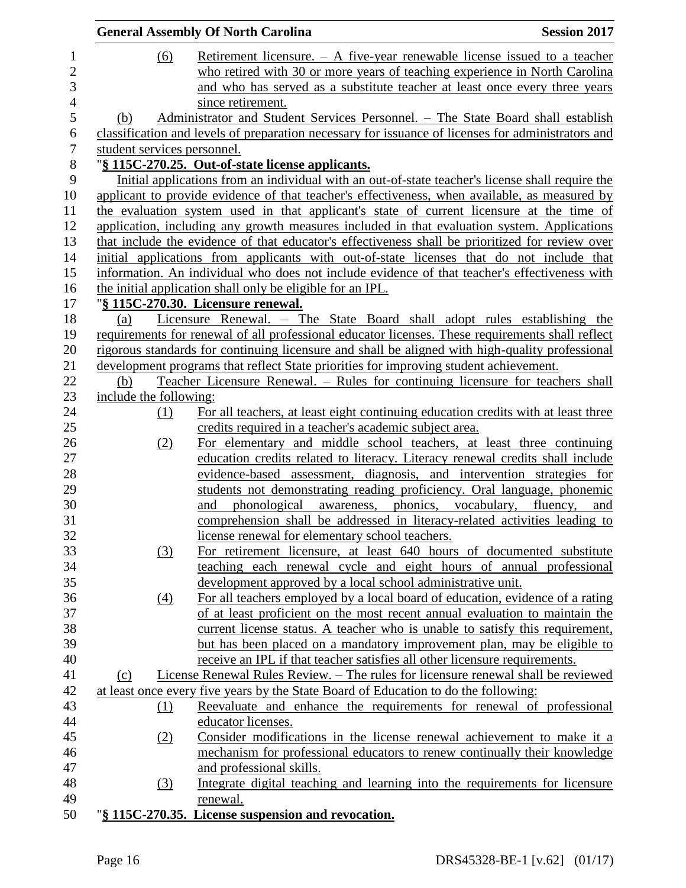|                          | <b>General Assembly Of North Carolina</b> | <b>Session 2017</b>                                                                                                                            |  |
|--------------------------|-------------------------------------------|------------------------------------------------------------------------------------------------------------------------------------------------|--|
| $\mathbf{1}$             | (6)                                       | <u>Retirement licensure. <math>-</math> A five-year renewable license issued to a teacher</u>                                                  |  |
| $\overline{c}$           |                                           | who retired with 30 or more years of teaching experience in North Carolina                                                                     |  |
| 3                        |                                           | and who has served as a substitute teacher at least once every three years                                                                     |  |
| $\overline{\mathcal{L}}$ |                                           | since retirement.                                                                                                                              |  |
| 5                        | (b)                                       | Administrator and Student Services Personnel. - The State Board shall establish                                                                |  |
| 6                        |                                           | classification and levels of preparation necessary for issuance of licenses for administrators and                                             |  |
| $\boldsymbol{7}$         | student services personnel.               |                                                                                                                                                |  |
| 8                        |                                           | "§ 115C-270.25. Out-of-state license applicants.                                                                                               |  |
| 9                        |                                           | Initial applications from an individual with an out-of-state teacher's license shall require the                                               |  |
| 10                       |                                           | applicant to provide evidence of that teacher's effectiveness, when available, as measured by                                                  |  |
| 11                       |                                           | the evaluation system used in that applicant's state of current licensure at the time of                                                       |  |
| 12                       |                                           | application, including any growth measures included in that evaluation system. Applications                                                    |  |
| 13                       |                                           | that include the evidence of that educator's effectiveness shall be prioritized for review over                                                |  |
| 14                       |                                           | initial applications from applicants with out-of-state licenses that do not include that                                                       |  |
| 15                       |                                           | information. An individual who does not include evidence of that teacher's effectiveness with                                                  |  |
| 16                       |                                           | the initial application shall only be eligible for an IPL.                                                                                     |  |
| 17                       |                                           | "§ 115C-270.30. Licensure renewal.                                                                                                             |  |
| 18                       | (a)                                       | Licensure Renewal. - The State Board shall adopt rules establishing the                                                                        |  |
| 19                       |                                           | requirements for renewal of all professional educator licenses. These requirements shall reflect                                               |  |
| 20                       |                                           | rigorous standards for continuing licensure and shall be aligned with high-quality professional                                                |  |
| 21                       |                                           | development programs that reflect State priorities for improving student achievement.                                                          |  |
| 22                       | (b)                                       | Teacher Licensure Renewal. – Rules for continuing licensure for teachers shall                                                                 |  |
| 23                       | include the following:                    |                                                                                                                                                |  |
| 24                       | (1)                                       | For all teachers, at least eight continuing education credits with at least three                                                              |  |
| 25                       |                                           | credits required in a teacher's academic subject area.                                                                                         |  |
| 26                       | (2)                                       | For elementary and middle school teachers, at least three continuing                                                                           |  |
| 27                       |                                           | education credits related to literacy. Literacy renewal credits shall include                                                                  |  |
| 28<br>29                 |                                           | evidence-based assessment, diagnosis, and intervention strategies for                                                                          |  |
| 30                       |                                           | students not demonstrating reading proficiency. Oral language, phonemic<br>awareness, phonics, vocabulary, fluency, and<br>phonological<br>and |  |
| 31                       |                                           | comprehension shall be addressed in literacy-related activities leading to                                                                     |  |
| 32                       |                                           | license renewal for elementary school teachers.                                                                                                |  |
| 33                       | (3)                                       | For retirement licensure, at least 640 hours of documented substitute                                                                          |  |
| 34                       |                                           | teaching each renewal cycle and eight hours of annual professional                                                                             |  |
| 35                       |                                           | development approved by a local school administrative unit.                                                                                    |  |
| 36                       | $\left(4\right)$                          | For all teachers employed by a local board of education, evidence of a rating                                                                  |  |
| 37                       |                                           | of at least proficient on the most recent annual evaluation to maintain the                                                                    |  |
| 38                       |                                           | current license status. A teacher who is unable to satisfy this requirement,                                                                   |  |
| 39                       |                                           | but has been placed on a mandatory improvement plan, may be eligible to                                                                        |  |
| 40                       |                                           | receive an IPL if that teacher satisfies all other licensure requirements.                                                                     |  |
| 41                       | (c)                                       | License Renewal Rules Review. – The rules for licensure renewal shall be reviewed                                                              |  |
| 42                       |                                           | at least once every five years by the State Board of Education to do the following:                                                            |  |
| 43                       | <u>(1)</u>                                | Reevaluate and enhance the requirements for renewal of professional                                                                            |  |
| 44                       |                                           | educator licenses.                                                                                                                             |  |
| 45                       | (2)                                       | Consider modifications in the license renewal achievement to make it a                                                                         |  |
| 46                       |                                           | mechanism for professional educators to renew continually their knowledge                                                                      |  |
| 47                       |                                           | and professional skills.                                                                                                                       |  |
| 48                       | (3)                                       | Integrate digital teaching and learning into the requirements for licensure                                                                    |  |
| 49                       |                                           | renewal.                                                                                                                                       |  |
| 50                       |                                           | "§ 115C-270.35. License suspension and revocation.                                                                                             |  |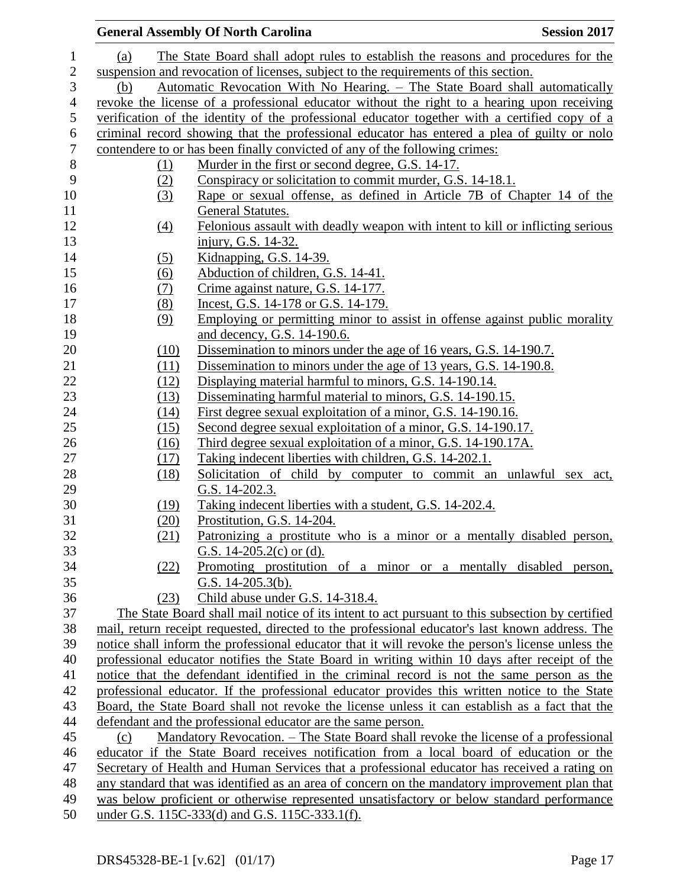|                   | <b>General Assembly Of North Carolina</b><br><b>Session 2017</b>                                                                                                                                     |
|-------------------|------------------------------------------------------------------------------------------------------------------------------------------------------------------------------------------------------|
| (a)               | The State Board shall adopt rules to establish the reasons and procedures for the                                                                                                                    |
|                   | suspension and revocation of licenses, subject to the requirements of this section.                                                                                                                  |
| (b)               | Automatic Revocation With No Hearing. - The State Board shall automatically                                                                                                                          |
|                   | revoke the license of a professional educator without the right to a hearing upon receiving                                                                                                          |
|                   | verification of the identity of the professional educator together with a certified copy of a                                                                                                        |
|                   | criminal record showing that the professional educator has entered a plea of guilty or nolo                                                                                                          |
|                   | contendere to or has been finally convicted of any of the following crimes:                                                                                                                          |
| (1)               | Murder in the first or second degree, G.S. 14-17.                                                                                                                                                    |
| (2)               | Conspiracy or solicitation to commit murder, G.S. 14-18.1.                                                                                                                                           |
| (3)               | Rape or sexual offense, as defined in Article 7B of Chapter 14 of the                                                                                                                                |
|                   | <b>General Statutes.</b>                                                                                                                                                                             |
| $\underline{(4)}$ | Felonious assault with deadly weapon with intent to kill or inflicting serious                                                                                                                       |
|                   | injury, G.S. 14-32.                                                                                                                                                                                  |
| (5)               | Kidnapping, G.S. 14-39.                                                                                                                                                                              |
| (6)               | Abduction of children, G.S. 14-41.                                                                                                                                                                   |
| (7)               | Crime against nature, G.S. 14-177.                                                                                                                                                                   |
| (8)               | Incest, G.S. 14-178 or G.S. 14-179.                                                                                                                                                                  |
| (9)               | <u>Employing or permitting minor to assist in offense against public morality</u>                                                                                                                    |
|                   | and decency, G.S. 14-190.6.                                                                                                                                                                          |
| (10)              | Dissemination to minors under the age of 16 years, G.S. 14-190.7.                                                                                                                                    |
| (11)              | Dissemination to minors under the age of 13 years, G.S. 14-190.8.                                                                                                                                    |
| (12)              | Displaying material harmful to minors, G.S. 14-190.14.                                                                                                                                               |
| (13)              | Disseminating harmful material to minors, G.S. 14-190.15.                                                                                                                                            |
| (14)              | First degree sexual exploitation of a minor, G.S. 14-190.16.                                                                                                                                         |
| (15)              | Second degree sexual exploitation of a minor, G.S. 14-190.17.                                                                                                                                        |
| (16)              | Third degree sexual exploitation of a minor, G.S. 14-190.17A.                                                                                                                                        |
| (17)              | Taking indecent liberties with children, G.S. 14-202.1.                                                                                                                                              |
| (18)              | Solicitation of child by computer to commit an unlawful sex<br>act,                                                                                                                                  |
|                   | G.S. 14-202.3.                                                                                                                                                                                       |
| (19)              | Taking indecent liberties with a student, G.S. 14-202.4.                                                                                                                                             |
| (20)              | Prostitution, G.S. 14-204.                                                                                                                                                                           |
| (21)              | <u>Patronizing a prostitute who is a minor or a mentally disabled person,</u>                                                                                                                        |
|                   | G.S. 14-205.2(c) or (d).                                                                                                                                                                             |
| (22)              | Promoting prostitution of a minor or a mentally disabled person,                                                                                                                                     |
|                   | G.S. $14-205.3(b)$ .                                                                                                                                                                                 |
| (23)              | Child abuse under G.S. 14-318.4.                                                                                                                                                                     |
|                   | The State Board shall mail notice of its intent to act pursuant to this subsection by certified                                                                                                      |
|                   | mail, return receipt requested, directed to the professional educator's last known address. The<br>notice shall inform the professional educator that it will revoke the person's license unless the |
|                   | professional educator notifies the State Board in writing within 10 days after receipt of the                                                                                                        |
|                   | notice that the defendant identified in the criminal record is not the same person as the                                                                                                            |
|                   | professional educator. If the professional educator provides this written notice to the State                                                                                                        |
|                   | Board, the State Board shall not revoke the license unless it can establish as a fact that the                                                                                                       |
|                   | defendant and the professional educator are the same person.                                                                                                                                         |
| (c)               | Mandatory Revocation. - The State Board shall revoke the license of a professional                                                                                                                   |
|                   | educator if the State Board receives notification from a local board of education or the                                                                                                             |
|                   | Secretary of Health and Human Services that a professional educator has received a rating on                                                                                                         |
|                   | any standard that was identified as an area of concern on the mandatory improvement plan that                                                                                                        |
|                   | was below proficient or otherwise represented unsatisfactory or below standard performance                                                                                                           |
|                   | under G.S. 115C-333(d) and G.S. 115C-333.1(f).                                                                                                                                                       |
|                   |                                                                                                                                                                                                      |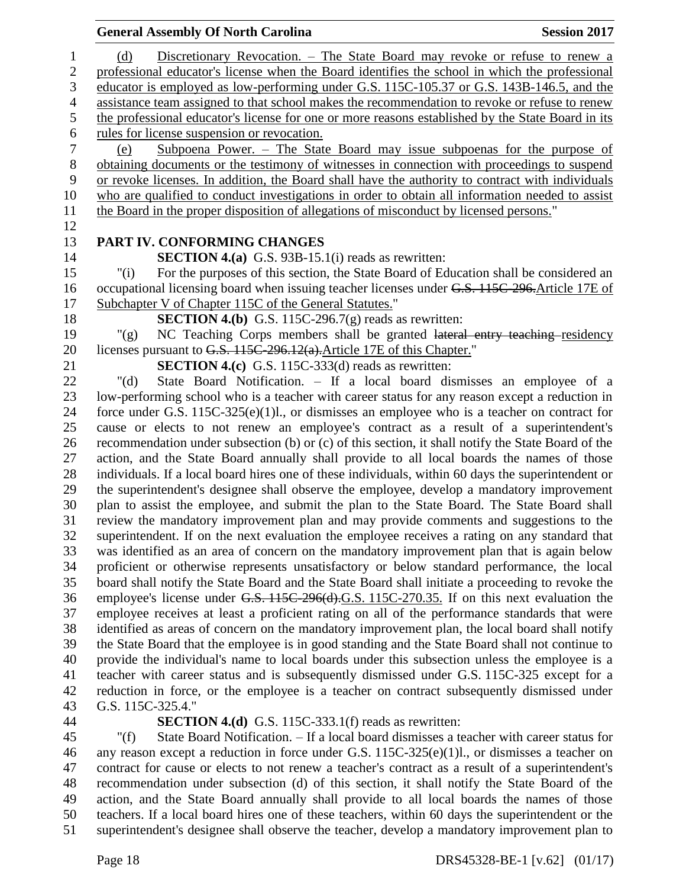#### **General Assembly Of North Carolina Session 2017**  (d) Discretionary Revocation. – The State Board may revoke or refuse to renew a professional educator's license when the Board identifies the school in which the professional educator is employed as low-performing under G.S. 115C-105.37 or G.S. 143B-146.5, and the assistance team assigned to that school makes the recommendation to revoke or refuse to renew the professional educator's license for one or more reasons established by the State Board in its rules for license suspension or revocation. (e) Subpoena Power. – The State Board may issue subpoenas for the purpose of obtaining documents or the testimony of witnesses in connection with proceedings to suspend or revoke licenses. In addition, the Board shall have the authority to contract with individuals who are qualified to conduct investigations in order to obtain all information needed to assist the Board in the proper disposition of allegations of misconduct by licensed persons." **PART IV. CONFORMING CHANGES SECTION 4.(a)** G.S. 93B-15.1(i) reads as rewritten: "(i) For the purposes of this section, the State Board of Education shall be considered an occupational licensing board when issuing teacher licenses under G.S. 115C-296.Article 17E of Subchapter V of Chapter 115C of the General Statutes." **SECTION 4.(b)** G.S. 115C-296.7(g) reads as rewritten: "(g) NC Teaching Corps members shall be granted lateral entry teaching residency 20 licenses pursuant to G.S. 115C-296.12(a). Article 17E of this Chapter." **SECTION 4.(c)** G.S. 115C-333(d) reads as rewritten: "(d) State Board Notification. – If a local board dismisses an employee of a low-performing school who is a teacher with career status for any reason except a reduction in force under G.S. 115C-325(e)(1)l., or dismisses an employee who is a teacher on contract for cause or elects to not renew an employee's contract as a result of a superintendent's recommendation under subsection (b) or (c) of this section, it shall notify the State Board of the action, and the State Board annually shall provide to all local boards the names of those individuals. If a local board hires one of these individuals, within 60 days the superintendent or the superintendent's designee shall observe the employee, develop a mandatory improvement plan to assist the employee, and submit the plan to the State Board. The State Board shall review the mandatory improvement plan and may provide comments and suggestions to the superintendent. If on the next evaluation the employee receives a rating on any standard that was identified as an area of concern on the mandatory improvement plan that is again below proficient or otherwise represents unsatisfactory or below standard performance, the local board shall notify the State Board and the State Board shall initiate a proceeding to revoke the employee's license under G.S. 115C-296(d).G.S. 115C-270.35. If on this next evaluation the employee receives at least a proficient rating on all of the performance standards that were identified as areas of concern on the mandatory improvement plan, the local board shall notify the State Board that the employee is in good standing and the State Board shall not continue to provide the individual's name to local boards under this subsection unless the employee is a teacher with career status and is subsequently dismissed under G.S. 115C-325 except for a reduction in force, or the employee is a teacher on contract subsequently dismissed under G.S. 115C-325.4." **SECTION 4.(d)** G.S. 115C-333.1(f) reads as rewritten:

 "(f) State Board Notification. – If a local board dismisses a teacher with career status for any reason except a reduction in force under G.S. 115C-325(e)(1)l., or dismisses a teacher on contract for cause or elects to not renew a teacher's contract as a result of a superintendent's recommendation under subsection (d) of this section, it shall notify the State Board of the action, and the State Board annually shall provide to all local boards the names of those teachers. If a local board hires one of these teachers, within 60 days the superintendent or the superintendent's designee shall observe the teacher, develop a mandatory improvement plan to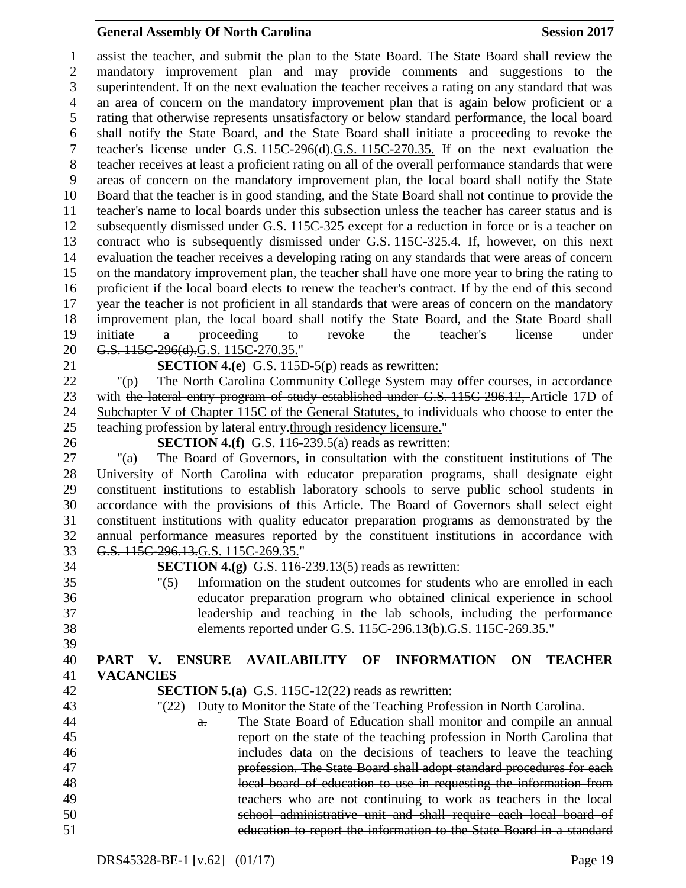#### **General Assembly Of North Carolina Session 2017**

 assist the teacher, and submit the plan to the State Board. The State Board shall review the mandatory improvement plan and may provide comments and suggestions to the superintendent. If on the next evaluation the teacher receives a rating on any standard that was an area of concern on the mandatory improvement plan that is again below proficient or a rating that otherwise represents unsatisfactory or below standard performance, the local board shall notify the State Board, and the State Board shall initiate a proceeding to revoke the teacher's license under G.S. 115C-296(d).G.S. 115C-270.35. If on the next evaluation the teacher receives at least a proficient rating on all of the overall performance standards that were areas of concern on the mandatory improvement plan, the local board shall notify the State Board that the teacher is in good standing, and the State Board shall not continue to provide the teacher's name to local boards under this subsection unless the teacher has career status and is subsequently dismissed under G.S. 115C-325 except for a reduction in force or is a teacher on contract who is subsequently dismissed under G.S. 115C-325.4. If, however, on this next evaluation the teacher receives a developing rating on any standards that were areas of concern on the mandatory improvement plan, the teacher shall have one more year to bring the rating to proficient if the local board elects to renew the teacher's contract. If by the end of this second year the teacher is not proficient in all standards that were areas of concern on the mandatory improvement plan, the local board shall notify the State Board, and the State Board shall initiate a proceeding to revoke the teacher's license under 20 G.S. 115C-296(d).G.S. 115C-270.35."

**SECTION 4.(e)** G.S. 115D-5(p) reads as rewritten:

 "(p) The North Carolina Community College System may offer courses, in accordance 23 with the lateral entry program of study established under G.S. 115C-296.12, Article 17D of Subchapter V of Chapter 115C of the General Statutes, to individuals who choose to enter the 25 teaching profession by lateral entry-through residency licensure."

**SECTION 4.(f)** G.S. 116-239.5(a) reads as rewritten:

 "(a) The Board of Governors, in consultation with the constituent institutions of The University of North Carolina with educator preparation programs, shall designate eight constituent institutions to establish laboratory schools to serve public school students in accordance with the provisions of this Article. The Board of Governors shall select eight constituent institutions with quality educator preparation programs as demonstrated by the annual performance measures reported by the constituent institutions in accordance with G.S. 115C-296.13.G.S. 115C-269.35."

**SECTION 4.(g)** G.S. 116-239.13(5) reads as rewritten:

 "(5) Information on the student outcomes for students who are enrolled in each educator preparation program who obtained clinical experience in school leadership and teaching in the lab schools, including the performance elements reported under G.S. 115C-296.13(b).G.S. 115C-269.35."

#### **PART V. ENSURE AVAILABILITY OF INFORMATION ON TEACHER VACANCIES**

- **SECTION 5.(a)** G.S. 115C-12(22) reads as rewritten:
- "(22) Duty to Monitor the State of the Teaching Profession in North Carolina. –
- **a.** The State Board of Education shall monitor and compile an annual report on the state of the teaching profession in North Carolina that includes data on the decisions of teachers to leave the teaching profession. The State Board shall adopt standard procedures for each local board of education to use in requesting the information from teachers who are not continuing to work as teachers in the local school administrative unit and shall require each local board of education to report the information to the State Board in a standard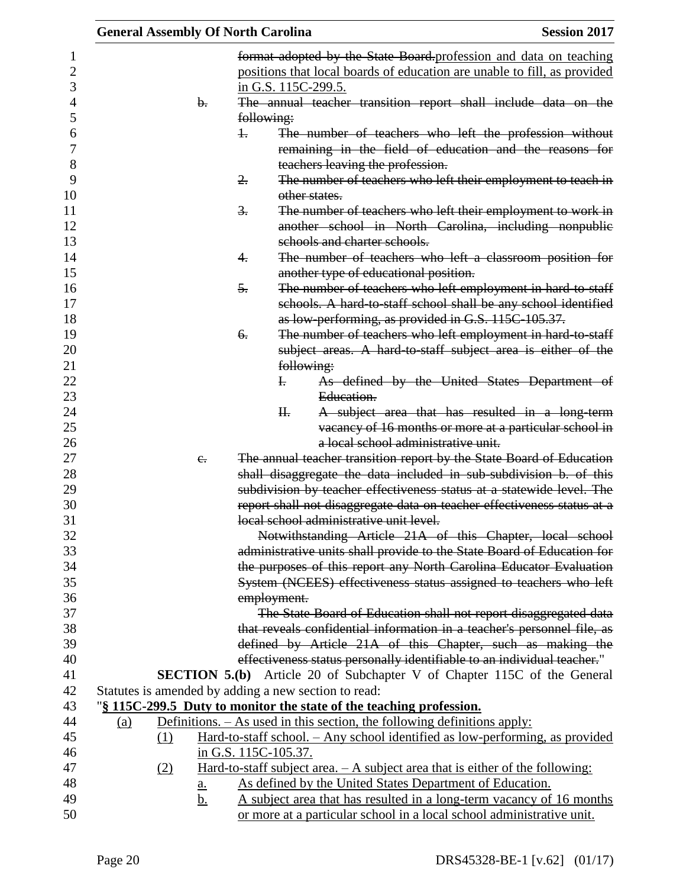|     |                |                  | <b>General Assembly Of North Carolina</b>                                       | <b>Session 2017</b>                                                                                                                              |
|-----|----------------|------------------|---------------------------------------------------------------------------------|--------------------------------------------------------------------------------------------------------------------------------------------------|
|     |                |                  |                                                                                 | format adopted by the State Board profession and data on teaching                                                                                |
|     |                |                  |                                                                                 | positions that local boards of education are unable to fill, as provided                                                                         |
|     |                |                  | in G.S. 115C-299.5.                                                             |                                                                                                                                                  |
|     | $\mathbf{b}$ . |                  |                                                                                 | The annual teacher transition report shall include data on the                                                                                   |
|     |                |                  | following:                                                                      |                                                                                                                                                  |
|     |                | $\ddagger$       |                                                                                 | The number of teachers who left the profession without                                                                                           |
|     |                |                  |                                                                                 | remaining in the field of education and the reasons for                                                                                          |
|     |                |                  | teachers leaving the profession.                                                |                                                                                                                                                  |
|     |                | 2.               |                                                                                 | The number of teachers who left their employment to teach in                                                                                     |
|     |                |                  | other states.                                                                   |                                                                                                                                                  |
|     |                | $\overline{3}$ . |                                                                                 | The number of teachers who left their employment to work in                                                                                      |
|     |                |                  |                                                                                 | another school in North Carolina, including nonpublic                                                                                            |
|     |                |                  | schools and charter schools.                                                    |                                                                                                                                                  |
|     |                | 4.               |                                                                                 | The number of teachers who left a classroom position for                                                                                         |
|     |                |                  | another type of educational position.                                           |                                                                                                                                                  |
|     |                | 5.               |                                                                                 | The number of teachers who left employment in hard to staff                                                                                      |
|     |                |                  |                                                                                 | schools. A hard-to-staff school shall be any school identified                                                                                   |
|     |                |                  | as low-performing, as provided in G.S. 115C-105.37.                             |                                                                                                                                                  |
|     |                | 6.               |                                                                                 | The number of teachers who left employment in hard-to-staff                                                                                      |
|     |                |                  |                                                                                 | subject areas. A hard to staff subject area is either of the                                                                                     |
|     |                |                  | following:                                                                      |                                                                                                                                                  |
|     |                |                  | $\mathbf{F}$                                                                    | As defined by the United States Department of                                                                                                    |
|     |                |                  | Education.                                                                      |                                                                                                                                                  |
|     |                |                  | H <sub>r</sub>                                                                  | A subject area that has resulted in a long-term                                                                                                  |
|     |                |                  |                                                                                 | vacancy of 16 months or more at a particular school in                                                                                           |
|     |                |                  | a local school administrative unit.                                             |                                                                                                                                                  |
|     | $e_{i}$        |                  |                                                                                 | The annual teacher transition report by the State Board of Education                                                                             |
|     |                |                  |                                                                                 | shall disaggregate the data included in sub-subdivision b. of this                                                                               |
|     |                |                  |                                                                                 | subdivision by teacher effectiveness status at a statewide level. The<br>report shall not disaggregate data on teacher effectiveness status at a |
|     |                |                  | local school administrative unit level.                                         |                                                                                                                                                  |
|     |                |                  |                                                                                 | Notwithstanding Article 21A of this Chapter, local school                                                                                        |
|     |                |                  |                                                                                 | administrative units shall provide to the State Board of Education for                                                                           |
|     |                |                  |                                                                                 | the purposes of this report any North Carolina Educator Evaluation                                                                               |
|     |                |                  |                                                                                 | System (NCEES) effectiveness status assigned to teachers who left                                                                                |
|     |                |                  | employment.                                                                     |                                                                                                                                                  |
|     |                |                  |                                                                                 | The State Board of Education shall not report disaggregated data                                                                                 |
|     |                |                  |                                                                                 | that reveals confidential information in a teacher's personnel file, as                                                                          |
|     |                |                  |                                                                                 | defined by Article 21A of this Chapter, such as making the                                                                                       |
|     |                |                  |                                                                                 | effectiveness status personally identifiable to an individual teacher."                                                                          |
|     |                |                  |                                                                                 | <b>SECTION 5.(b)</b> Article 20 of Subchapter V of Chapter 115C of the General                                                                   |
|     |                |                  | Statutes is amended by adding a new section to read:                            |                                                                                                                                                  |
|     |                |                  | "\\$\\frac{115C-299.5} Duty to monitor the state of the teaching profession.    |                                                                                                                                                  |
| (a) |                |                  | Definitions. $-$ As used in this section, the following definitions apply:      |                                                                                                                                                  |
|     | (1)            |                  |                                                                                 | <u>Hard-to-staff school. – Any school identified as low-performing, as provided</u>                                                              |
|     |                |                  | in G.S. 115C-105.37.                                                            |                                                                                                                                                  |
|     | (2)            |                  | Hard-to-staff subject area. $- A$ subject area that is either of the following: |                                                                                                                                                  |
|     | <u>a.</u>      |                  | As defined by the United States Department of Education.                        |                                                                                                                                                  |
|     | <u>b.</u>      |                  |                                                                                 | A subject area that has resulted in a long-term vacancy of 16 months                                                                             |
|     |                |                  | or more at a particular school in a local school administrative unit.           |                                                                                                                                                  |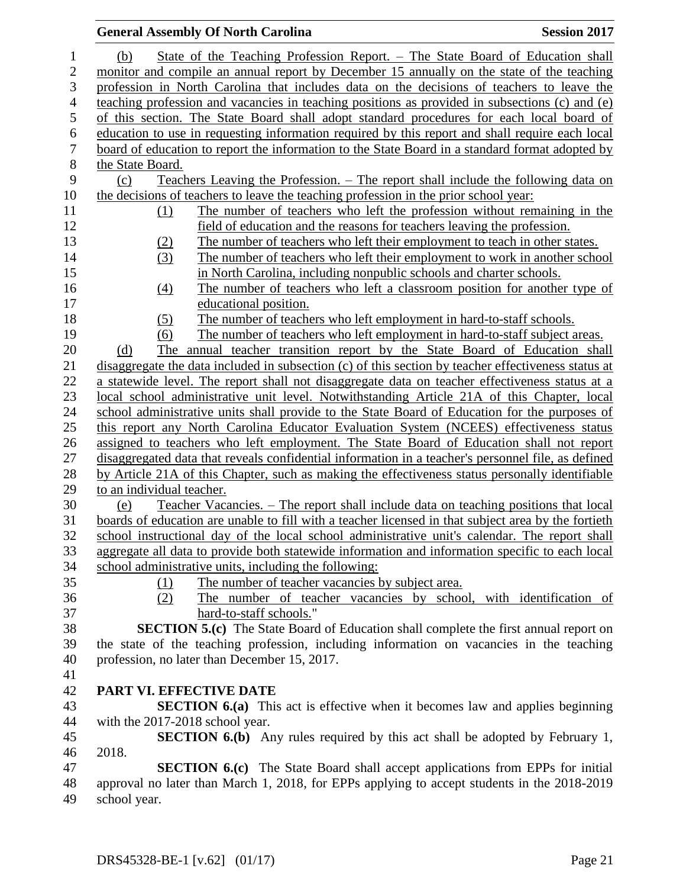|                  | <b>General Assembly Of North Carolina</b><br><b>Session 2017</b>                                                             |  |
|------------------|------------------------------------------------------------------------------------------------------------------------------|--|
| $\mathbf{1}$     | State of the Teaching Profession Report. – The State Board of Education shall<br>(b)                                         |  |
| $\boldsymbol{2}$ | monitor and compile an annual report by December 15 annually on the state of the teaching                                    |  |
| 3                | profession in North Carolina that includes data on the decisions of teachers to leave the                                    |  |
| $\overline{4}$   | teaching profession and vacancies in teaching positions as provided in subsections (c) and (e)                               |  |
| 5                | of this section. The State Board shall adopt standard procedures for each local board of                                     |  |
| $\boldsymbol{6}$ | education to use in requesting information required by this report and shall require each local                              |  |
| $\boldsymbol{7}$ | board of education to report the information to the State Board in a standard format adopted by                              |  |
| $8\,$            | the State Board.                                                                                                             |  |
| 9                | Teachers Leaving the Profession. – The report shall include the following data on<br>(c)                                     |  |
| 10               | the decisions of teachers to leave the teaching profession in the prior school year:                                         |  |
| 11               | The number of teachers who left the profession without remaining in the<br>(1)                                               |  |
| 12               | field of education and the reasons for teachers leaving the profession.                                                      |  |
| 13               | The number of teachers who left their employment to teach in other states.<br>(2)                                            |  |
| 14               | (3)<br>The number of teachers who left their employment to work in another school                                            |  |
| 15               | in North Carolina, including nonpublic schools and charter schools.                                                          |  |
| 16               | The number of teachers who left a classroom position for another type of<br>(4)                                              |  |
| 17               | educational position.                                                                                                        |  |
| 18               | The number of teachers who left employment in hard-to-staff schools.<br>(5)                                                  |  |
| 19               | The number of teachers who left employment in hard-to-staff subject areas.<br>(6)                                            |  |
| 20               | The annual teacher transition report by the State Board of Education shall<br>(d)                                            |  |
| 21               | disaggregate the data included in subsection (c) of this section by teacher effectiveness status at                          |  |
| 22               | a statewide level. The report shall not disaggregate data on teacher effectiveness status at a                               |  |
| 23               | local school administrative unit level. Notwithstanding Article 21A of this Chapter, local                                   |  |
| 24               | school administrative units shall provide to the State Board of Education for the purposes of                                |  |
| 25               | this report any North Carolina Educator Evaluation System (NCEES) effectiveness status                                       |  |
| 26               | assigned to teachers who left employment. The State Board of Education shall not report                                      |  |
| 27               | disaggregated data that reveals confidential information in a teacher's personnel file, as defined                           |  |
| 28               | by Article 21A of this Chapter, such as making the effectiveness status personally identifiable                              |  |
| 29               | to an individual teacher.                                                                                                    |  |
| 30               | Teacher Vacancies. – The report shall include data on teaching positions that local<br>(e)                                   |  |
| 31               | boards of education are unable to fill with a teacher licensed in that subject area by the fortieth                          |  |
| 32               | school instructional day of the local school administrative unit's calendar. The report shall                                |  |
| 33               | aggregate all data to provide both statewide information and information specific to each local                              |  |
| 34<br>35         | school administrative units, including the following:                                                                        |  |
| 36               | The number of teacher vacancies by subject area.<br>(1)<br>The number of teacher vacancies by school, with identification of |  |
| 37               | (2)<br>hard-to-staff schools."                                                                                               |  |
| 38               | <b>SECTION 5.(c)</b> The State Board of Education shall complete the first annual report on                                  |  |
| 39               | the state of the teaching profession, including information on vacancies in the teaching                                     |  |
| 40               | profession, no later than December 15, 2017.                                                                                 |  |
| 41               |                                                                                                                              |  |
| 42               | PART VI. EFFECTIVE DATE                                                                                                      |  |
| 43               | <b>SECTION 6.(a)</b> This act is effective when it becomes law and applies beginning                                         |  |
| 44               | with the 2017-2018 school year.                                                                                              |  |
| 45               | <b>SECTION 6.(b)</b> Any rules required by this act shall be adopted by February 1,                                          |  |
| 46               | 2018.                                                                                                                        |  |
| 47               | <b>SECTION 6.(c)</b> The State Board shall accept applications from EPPs for initial                                         |  |
| 48               | approval no later than March 1, 2018, for EPPs applying to accept students in the 2018-2019                                  |  |
| 49               | school year.                                                                                                                 |  |
|                  |                                                                                                                              |  |